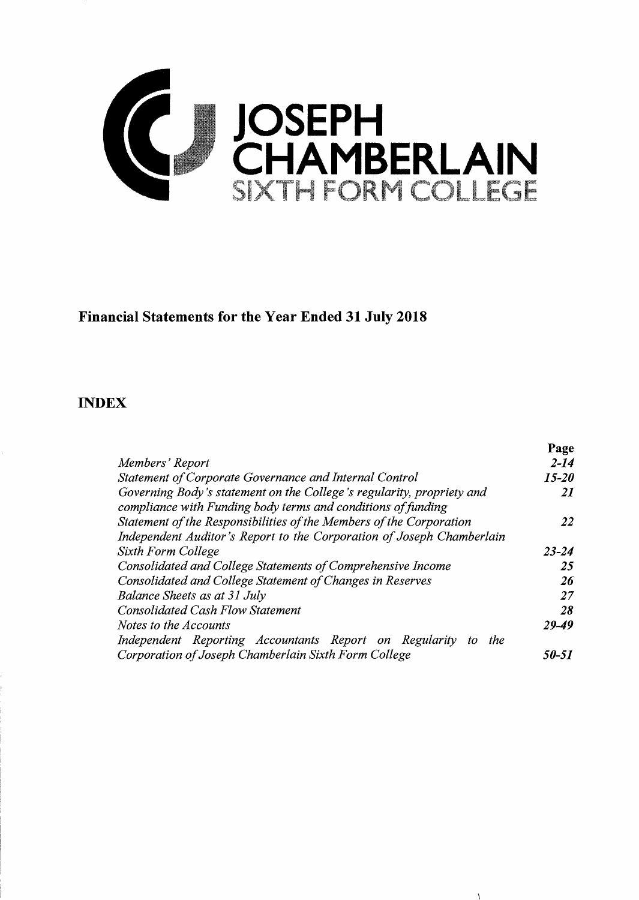

## **Financial Statements for the Year Ended 31 July 2018**

### **INDEX**

|                                                                                                                                       | Page      |
|---------------------------------------------------------------------------------------------------------------------------------------|-----------|
| Members' Report                                                                                                                       | $2 - 14$  |
| Statement of Corporate Governance and Internal Control                                                                                | 15-20     |
| Governing Body's statement on the College's regularity, propriety and<br>compliance with Funding body terms and conditions of funding | 21        |
| Statement of the Responsibilities of the Members of the Corporation                                                                   | 22        |
| Independent Auditor's Report to the Corporation of Joseph Chamberlain                                                                 |           |
| Sixth Form College                                                                                                                    | $23 - 24$ |
| Consolidated and College Statements of Comprehensive Income                                                                           | 25        |
| Consolidated and College Statement of Changes in Reserves                                                                             | 26        |
| <b>Balance Sheets as at 31 July</b>                                                                                                   | 27        |
| <b>Consolidated Cash Flow Statement</b>                                                                                               | 28        |
| Notes to the Accounts                                                                                                                 | 29-49     |
| Independent Reporting Accountants Report on Regularity to<br>the                                                                      |           |
| Corporation of Joseph Chamberlain Sixth Form College                                                                                  | 50-51     |

 $\mathcal{L}$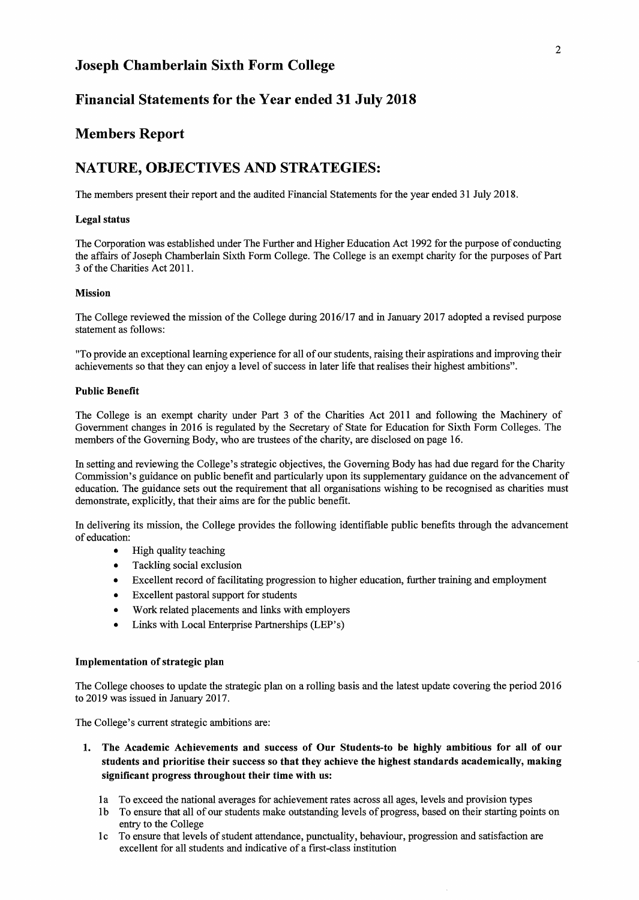### Financial Statements for the Year ended 31 July 2018

### Members Report

### NATURE, OBJECTIVES AND STRATEGIES:

The members present their report and the audited Financial Statements for the year ended 31 July 2018.

#### Legal status

The Corporation was established under The Further and Higher Education Act 1992 for the purpose of conducting the affairs of Joseph Chamberlain Sixth Form College. The College is an exempt charity for the purposes of Part 3 of the Charities Act 2011.

#### Mission

The College reviewed the mission of the College during 2016/17 and in January 2017 adopted a revised purpose statement as follows:

"To provide an exceptional learning experience for all of our students, raising their aspirations and improving their achievements so that they can enjoy a level of success in later life that realises their highest ambitions".

#### Public Benefit

The College is an exempt charity under Part 3 of the Charities Act 2011 and following the Machinery of Government changes in 2016 is regulated by the Secretary of State for Education for Sixth Form Colleges. The members of the Governing Body, who are trustees of the charity, are disclosed on page 16.

In setting and reviewing the College's strategic objectives, the Governing Body has had due regard for the Charity Commission's guidance on public benefit and particularly upon its supplementary guidance on the advancement of education. The guidance sets out the requirement that all organisations wishing to be recognised as charities must demonstrate, explicitly, that their aims are for the public benefit.

In delivering its mission, the College provides the following identifiable public benefits through the advancement of education:

- High quality teaching
- Tackling social exclusion
- Excellent record of facilitating progression to higher education, further training and employment
- Excellent pastoral support for students
- Work related placements and links with employers
- Links with Local Enterprise Partnerships (LEP's)

#### Implementation of strategic plan

The College chooses to update the strategic plan on a rolling basis and the latest update covering the period 2016 to 2019 was issued in January 2017.

The College's current strategic ambitions are:

- 1. The Academic Achievements and success of Our Students-to be highly ambitious for all of our students and prioritise their success so that they achieve the highest standards academically, making significant progress throughout their time with us:
	- la To exceed the national averages for achievement rates across all ages, levels and provision types
	- 1b To ensure that all of our students make outstanding levels of progress, based on their starting points on entry to the College
	- l c To ensure that levels of student attendance, punctuality, behaviour, progression and satisfaction are excellent for all students and indicative of a first-class institution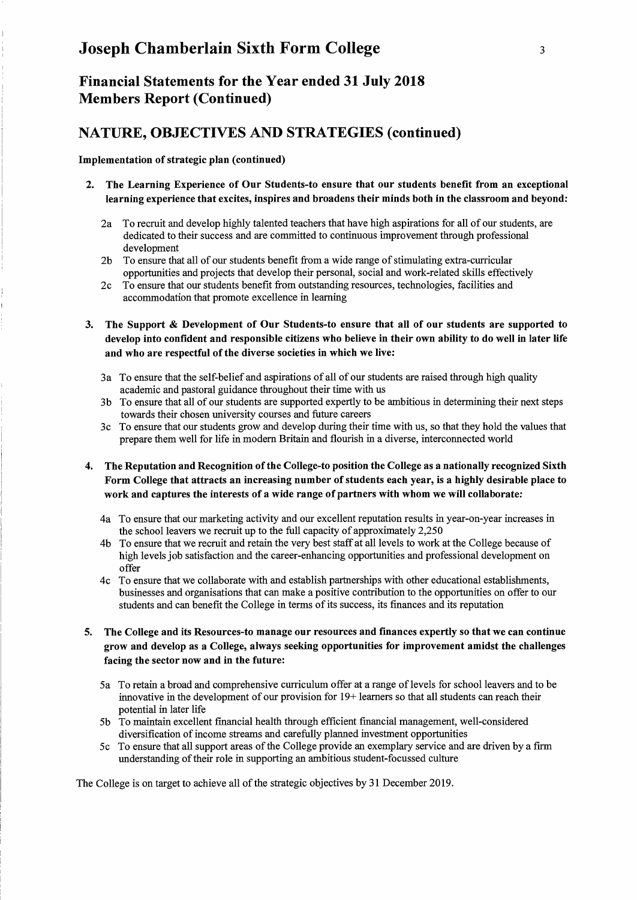Financial Statements for the Year ended 31 July 2018 Members Report (Continued)

### NATURE, OBJECTIVES AND STRATEGIES (continued)

#### Implementation of strategic plan (continued)

- 2. The Learning Experience of Our Students-to ensure that our students benefit from an exceptional learning experience that excites, inspires and broadens their minds both in the classroom and beyond:
	- 2a To recruit and develop highly talented teachers that have high aspirations for all of our students, are dedicated to their success and are committed to continuous improvement through professional development
	- 2b To ensure that all of our students benefit from a wide range of stimulating extra-curricular opportunities and projects that develop their personal, social and work-related skills effectively
	- 2c To ensure that our students benefit from outstanding resources, technologies, facilities and accommodation that promote excellence in learning
- 3. The Support & Development of Our Students-to ensure that all of our students are supported to develop into confident and responsible citizens who believe in their own ability to do well in later life and who are respectful of the diverse societies in which we live:
	- 3a To ensure that the self-belief and aspirations of all of our students are raised through high quality academic and pastoral guidance throughout their time with us
	- 3b To ensure that all of our students are supported expertly to be ambitious in determining their next steps towards their chosen university courses and future careers
	- 3c To ensure that our students grow and develop during their time with us, so that they hold the values that prepare them well for life in modern Britain and flourish in a diverse, interconnected world
- 4. The Reputation and Recognition ofthe College-to position the College as a nationally recognized Sixth Form College that attracts an increasing number of students each year, is a highly desirable place to work and captures the interests of a wide range of partners with whom we will collaborate:
	- 4a To ensure that our marketing activity and our excellent reputation results in year-on-year increases in the school leavers we recruit up to the full capacity of approximately  $2,250$
	- 4b To ensure that we recruit and retain the very best staff at all levels to work at the College because of high levels job satisfaction and the career-enhancing opportunities and professional development on offer
	- 4c To ensure that we collaborate with and establish partnerships with other educational establishments, businesses and organisations that can make a positive contribution to the opportunities on offer to our students and can benefit the College in terms of its success, its finances and its reputation
- 5. The College and its Resources-to manage our resources and finances expertly so that we can continue grow and develop as a College, always seeking opportunities for improvement amidst the challenges facing the sector now and in the future:
	- 5a To retain a broad and comprehensive curriculum offer at a range of levels for school leavers and to be innovative in the development of our provision for 19+ learners so that all students can reach their potential in later life
	- 5b To maintain excellent financial health through efficient financial management, well-considered diversification of income streams and carefully planned investment opportunities
	- 5c To ensure that all support areas of the College provide an exemplary service and are driven by a firm understanding of their role in supporting an ambitious student-focussed culture

The College is on target to achieve all of the strategic objectives by 31 December 2019.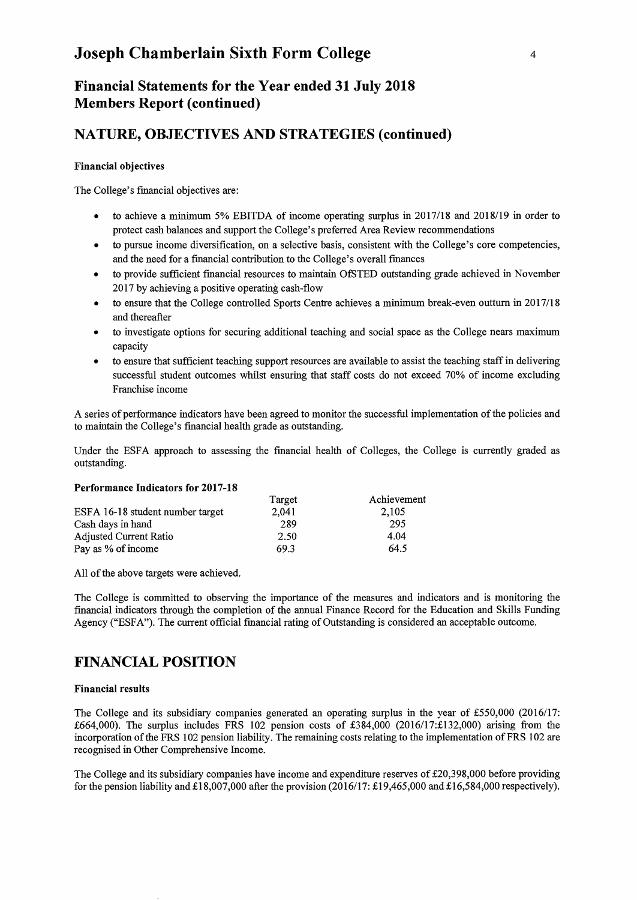## **Financial Statements for the Year ended 31 July 2018 Members Report (continued)**

## **NATURE, OBJECTIVES AND STRATEGIES (continued)**

### **Financial objectives**

The College's financial objectives are:

- to achieve a minimum 5% EBITDA of income operating surplus in 2017/18 and 2018/19 in order to protect cash balances and support the College's preferred Area Review recommendations
- to pursue income diversification, on a selective basis, consistent with the College's core competencies, and the need for a financial contribution to the College's overall finances
- to provide sufficient financial resources to maintain OfSTED outstanding grade achieved in November 2017 by achieving a positive operating cash-flow
- to ensure that the College controlled Sports Centre achieves a minimum break-even outtum in 2017/18 and thereafter
- to investigate options for securing additional teaching and social space as the College nears maximum capacity
- to ensure that sufficient teaching support resources are available to assist the teaching staff in delivering successful student outcomes whilst ensuring that staff costs do not exceed 70% of income excluding Franchise income

A series of performance indicators have been agreed to monitor the successful implementation of the policies and to maintain the College's financial health grade as outstanding.

Under the ESFA approach to assessing the financial health of Colleges, the College is currently graded as outstanding.

#### **Performance Indicators for 2017-18**

|                                  | Target | Achievement |
|----------------------------------|--------|-------------|
| ESFA 16-18 student number target | 2.041  | 2.105       |
| Cash days in hand                | 289    | 295         |
| <b>Adjusted Current Ratio</b>    | 2.50   | 4.04        |
| Pay as % of income               | 69.3   | 64.5        |

All of the above targets were achieved.

The College is committed to observing the importance of the measures and indicators and is monitoring the financial indicators through the completion of the annual Finance Record for the Education and Skills Funding Agency ("ESFA"). The current official financial rating of Outstanding is considered an acceptable outcome.

### **FINANCIAL POSITION**

#### **Financial results**

The College and its subsidiary companies generated an operating surplus in the year of £550,000 (2016/17: £664,000). The surplus includes FRS 102 pension costs of £384,000 (2016/17:£132,000) arising from the incorporation of the FRS 102 pension liability. The remaining costs relating to the implementation of FRS 102 are recognised in Other Comprehensive Income.

The College and its subsidiary companies have income and expenditure reserves of £20,398,000 before providing for the pension liability and £18,007,000 after the provision  $(2016/17; \text{\textsterling}19,465,000 \text{ and } \text{\textsterling}16,584,000 \text{ respectively})$ .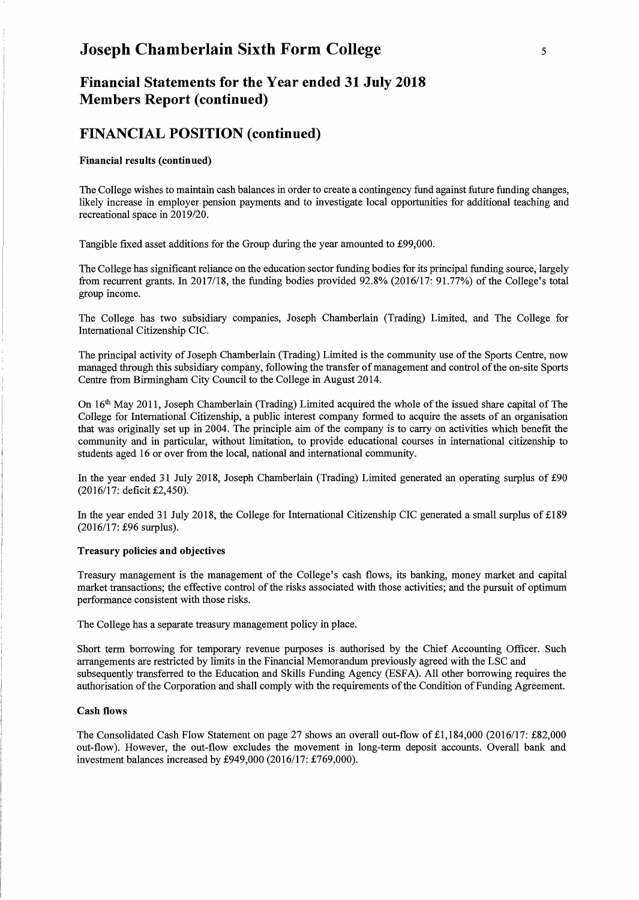## **Financial Statements for the Year ended 31 July 2018 Members Report (continued)**

### **FINANCIAL POSITION (continued)**

#### Financial results (continued)

The College wishes to maintain cash balances in order to create a contingency fund against future funding changes, likely increase in employer pension payments and to investigate local opportunities for additional teaching and recreational space in 2019/20.

Tangible fixed asset additions for the Group during the year amounted to £99,000.

The College has significant reliance on the education sector funding bodies for its principal funding source, largely from recurrent grants. In 2017/18, the funding bodies provided 92.8% (2016/17: 91.77%) of the College's total group income.

The College has two subsidiary companies, Joseph Chamberlain (Trading) Limited, and The College for International Citizenship CIC.

The principal activity of Joseph Chamberlain (Trading) Limited is the community use of the Sports Centre, now managed through this subsidiary company, following the transfer of management and control of the on-site Sports Centre from Birmingham City Council to the College in August 2014.

On 16th May 2011, Joseph Chamberlain (Trading) Limited acquired the whole of the issued share capital of The College for International Citizenship, a public interest company formed to acquire the assets of an organisation that was originally set up in 2004. The principle aim of the company is to carry on activities which benefit the community and in particular, without limitation, to provide educational courses in international citizenship to students aged 16 or over from the local, national and international community.

In the year ended 31 July 2018, Joseph Chamberlain (Trading) Limited generated an operating surplus of £90 (2016/17: deficit £2,450).

In the year ended 31 July 2018, the College for International Citizenship CIC generated a small surplus of £189 (2016/17: £96 surplus).

#### Treasury policies and objectives

Treasury management is the management of the College's cash flows, its banking, money market and capital market transactions; the effective control of the risks associated with those activities; and the pursuit of optimum performance consistent with those risks.

The College has a separate treasury management policy in place.

Short term borrowing for temporary revenue purposes is authorised by the Chief Accounting Officer. Such arrangements are restricted by limits in the Financial Memorandum previously agreed with the LSC and subsequently transferred to the Education and Skills Funding Agency (ESFA). All other borrowing requires the authorisation of the Corporation and shall comply with the requirements of the Condition of Funding Agreement.

#### Cash flows

The Consolidated Cash Flow Statement on page 27 shows an overall out-flow of £1,184,000 (2016/17: £82,000 out-flow). However, the out-flow excludes the movement in long-term deposit accounts. Overall bank and investment balances increased by £949,000 (2016/17: £769,000).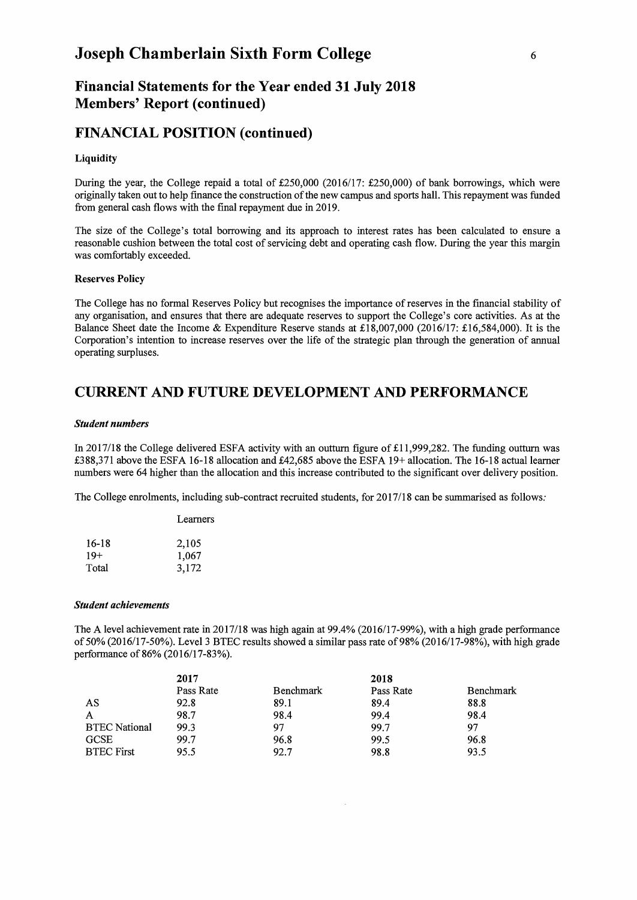## Financial Statements for the Year ended 31 July 2018 Members' Report (continued)

### FINANCIAL POSITION (continued)

#### **Liquidity**

During the year, the College repaid a total of £250,000 (2016/17: £250,000) of bank borrowings, which were originally taken out to help finance the construction of the new campus and sports hall. This repayment was funded from general cash flows with the final repayment due in 2019.

The size of the College's total borrowing and its approach to interest rates has been calculated to ensure a reasonable cushion between the total cost of servicing debt and operating cash flow. During the year this margin was comfortably exceeded.

#### Reserves Policy

The College has no formal Reserves Policy but recognises the importance of reserves in the financial stability of any organisation, and ensures that there are adequate reserves to support the College's core activities. As at the Balance Sheet date the Income & Expenditure Reserve stands at £18,007,000 (2016/17: £16,584,000). It is the Corporation's intention to increase reserves over the life of the strategic plan through the generation of annual operating surpluses.

### CURRENT AND FUTURE DEVELOPMENT AND PERFORMANCE

#### *Student numbers*

In 2017/18 the College delivered ESFA activity with an outturn figure of  $\pounds$ 11,999,282. The funding outturn was £388,371 above the ESFA 16-18 allocation and £42,685 above the ESFA 19+ allocation. The 16-18 actualleamer numbers were 64 higher than the allocation and this increase contributed to the significant over delivery position.

The College enrolments, including sub-contract recruited students, for 2017/18 can be summarised as follows:

|       | Learners |  |  |
|-------|----------|--|--|
| 16-18 | 2,105    |  |  |
| $19+$ | 1,067    |  |  |
| Total | 3,172    |  |  |

#### *Student achievements*

The A level achievement rate in 2017/18 was high again at 99.4% (2016/17-99%), with a high grade performance of 50% (2016/17-50%). Level 3 BTEC results showed a similar pass rate of 98% (2016/17-98%), with high grade performance of 86% (2016/17-83%).

|                      | 2017      |                  | 2018      |           |
|----------------------|-----------|------------------|-----------|-----------|
|                      | Pass Rate | <b>Benchmark</b> | Pass Rate | Benchmark |
| AS                   | 92.8      | 89.1             | 89.4      | 88.8      |
| $\mathsf{A}$         | 98.7      | 98.4             | 99.4      | 98.4      |
| <b>BTEC</b> National | 99.3      | 97               | 99.7      | 97        |
| <b>GCSE</b>          | 99.7      | 96.8             | 99.5      | 96.8      |
| <b>BTEC First</b>    | 95.5      | 92.7             | 98.8      | 93.5      |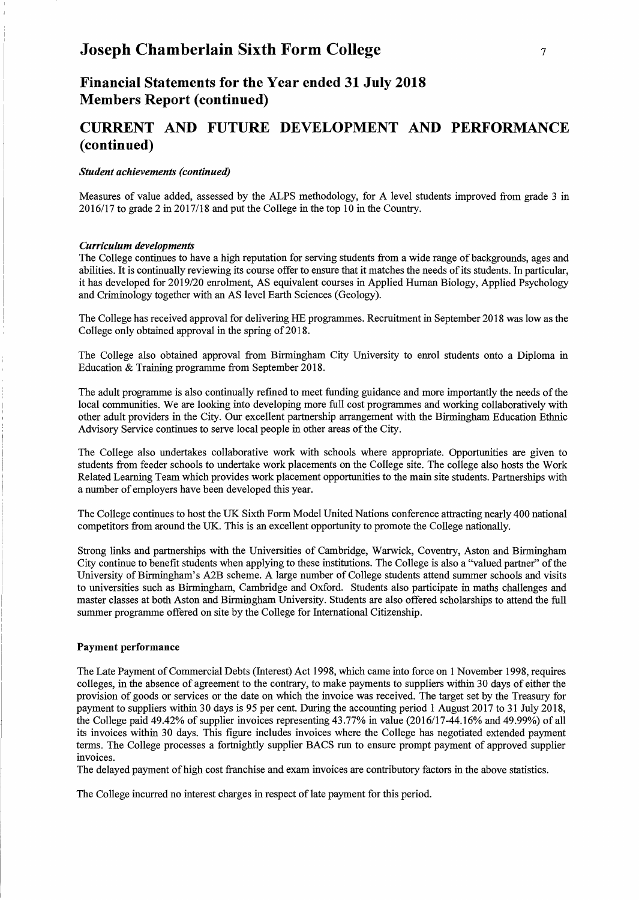## **Financial Statements for the Year ended 31 July 2018 Members Report (continued)**

## **CURRENT AND FUTURE DEVELOPMENT AND PERFORMANCE ( continued)**

#### *Student achievements (continued)*

Measures of value added, assessed by the ALPS methodology, for A level students improved from grade 3 in 2016/17 to grade 2 in 2017/18 and put the College in the top lO in the Country.

#### *Curriculum developments*

The College continues to have a high reputation for serving students from a wide range of backgrounds, ages and abilities. It is continually reviewing its course offer to ensure that it matches the needs of its students. In particular, it has developed for 2019/20 enrolment, AS equivalent courses in Applied Human Biology, Applied Psychology and Criminology together with an AS level Earth Sciences (Geology).

The College has received approval for delivering HE programmes. Recruitment in September 2018 was low as the College only obtained approval in the spring of 2018.

The College also obtained approval from Birmingham City University to enrol students onto a Diploma in Education & Training programme from September 2018.

The adult programme is also continually refined to meet funding guidance and more importantly the needs of the local communities. We are looking into developing more full cost programmes and working collaboratively with other adult providers in the City. Our excellent partnership arrangement with the Birmingham Education Ethnic Advisory Service continues to serve local people in other areas of the City.

The College also undertakes collaborative work with schools where appropriate. Opportunities are given to students from feeder schools to undertake work placements on the College site. The college also hosts the Work Related Learning Team which provides work placement opportunities to the main site students. Partnerships with a number of employers have been developed this year.

The College continues to host the UK Sixth Form Model United Nations conference attracting nearly 400 national competitors from around the UK. This is an excellent opportunity to promote the College nationally.

Strong links and partnerships with the Universities of Cambridge, Warwick, Coventry, Aston and Birmingham City continue to benefit students when applying to these institutions. The College is also a "valued partner" of the University of Birmingham's A2B scheme. A large number of College students attend summer schools and visits to universities such as Birmingham, Cambridge and Oxford. Students also participate in maths challenges and master classes at both Aston and Birmingham University. Students are also offered scholarships to attend the full summer programme offered on site by the College for International Citizenship.

#### Payment performance

The Late Payment of Commercial Debts (Interest) Act 1998, which came into force on 1 November 1998, requires colleges, in the absence of agreement to the contrary, to make payments to suppliers within 30 days of either the provision of goods or services or the date on which the invoice was received. The target set by the Treasury for payment to suppliers within 30 days is 95 per cent. During the accounting period 1 August 2017 to 31 July 2018, the College paid 49.42% of supplier invoices representing 43.77% in value (2016/17-44.16% and 49.99%) of all its invoices within 30 days. This figure includes invoices where the College has negotiated extended payment terms. The College processes a fortnightly supplier BACS run to ensure prompt payment of approved supplier invoices.

The delayed payment of high cost franchise and exam invoices are contributory factors in the above statistics.

The College incurred no interest charges in respect of late payment for this period.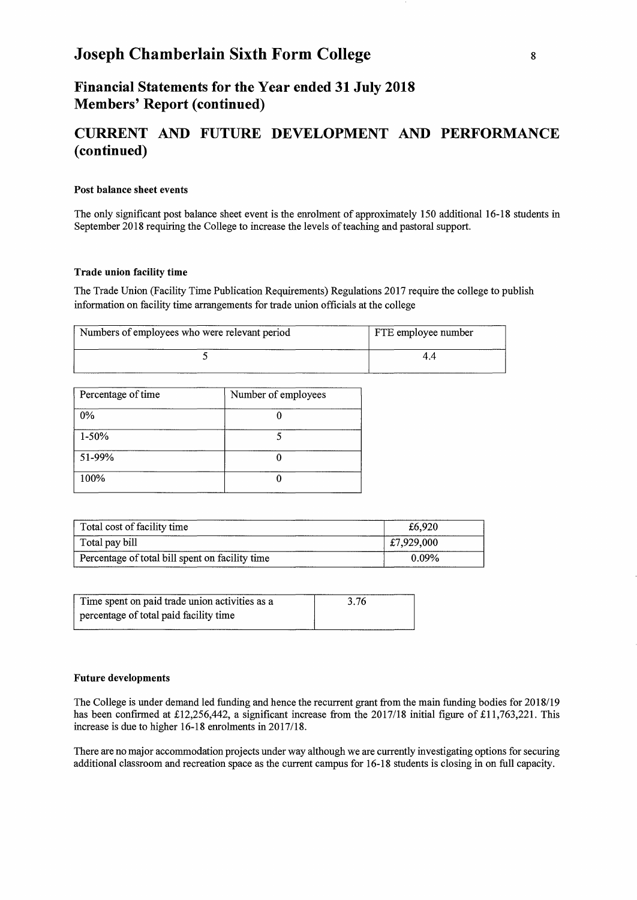## **Financial Statements for the Year ended 31 July 2018 Members' Report (continued)**

## CURRENT **AND FUTURE DEVELOPMENT AND PERFORMANCE ( continued)**

#### Post balance sheet events

The only significant post balance sheet event is the enrolment of approximately 150 additional 16-18 students in September 2018 requiring the College to increase the levels of teaching and pastoral support.

#### Trade union facility time

The Trade Union (Facility Time Publication Requirements) Regulations 2017 require the college to publish information on facility time arrangements for trade union officials at the college

| Numbers of employees who were relevant period | FTE employee number |
|-----------------------------------------------|---------------------|
|                                               | 44                  |

| Percentage of time | Number of employees |
|--------------------|---------------------|
| $0\%$              |                     |
| $1 - 50%$          |                     |
| 51-99%             |                     |
| 100%               |                     |

| Total cost of facility time                     | £6,920     |
|-------------------------------------------------|------------|
| Total pay bill                                  | £7,929,000 |
| Percentage of total bill spent on facility time | $0.09\%$   |

| Time spent on paid trade union activities as a | 3.76 |  |
|------------------------------------------------|------|--|
| percentage of total paid facility time         |      |  |

#### Future developments

The College is under demand led funding and hence the recurrent grant from the main funding bodies for 20 18/l9 has been confirmed at £12,256,442, a significant increase from the 2017/18 initial figure of £11,763,221. This increase is due to higher 16-18 enrolments in 2017/18.

There are no major accommodation projects under way although we are currently investigating options for securing additional classroom and recreation space as the current campus for 16-18 students is closing in on full capacity.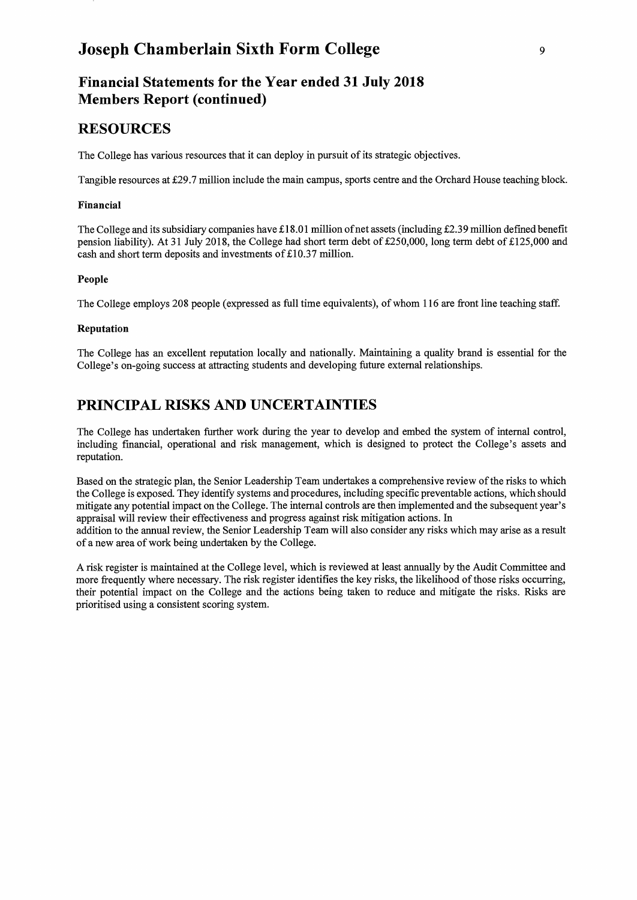## **Financial Statements for the Year ended 31 July 2018 Members Report (continued)**

## **RESOURCES**

The College has various resources that it can deploy in pursuit of its strategic objectives.

Tangible resources at £29.7 million include the main campus, sports centre and the Orchard House teaching block.

#### Financial

The College and its subsidiary companies have £18.01 million of net assets (including £2.39 million defmed benefit pension liability). At 31 July 2018, the College had short term debt of £250,000, long term debt of £125,000 and cash and short term deposits and investments of £10.37 million.

### People

The College employs 208 people (expressed as full time equivalents), of whom 116 are front line teaching staff.

### Reputation

The College has an excellent reputation locally and nationally. Maintaining a quality brand is essential for the College's on-going success at attracting students and developing future external relationships.

## **PRINCIPAL RISKS AND UNCERTAINTIES**

The College has undertaken further work during the year to develop and embed the system of internal control, including fmancial, operational and risk management, which is designed to protect the College's assets and reputation.

Based on the strategic plan, the Senior Leadership Team undertakes a comprehensive review of the risks to which the College is exposed. They identify systems and procedures, including specific preventable actions, which should mitigate any potential impact on the College. The internal controls are then implemented and the subsequent year's appraisal will review their effectiveness and progress against risk mitigation actions. In addition to the annual review, the Senior Leadership Team will also consider any risks which may arise as a result of a new area of work being undertaken by the College.

A risk register is maintained at the College level, which is reviewed at least annually by the Audit Committee and more frequently where necessary. The risk register identifies the key risks, the likelihood of those risks occurring, their potential impact on the College and the actions being taken to reduce and mitigate the risks. Risks are prioritised using a consistent scoring system.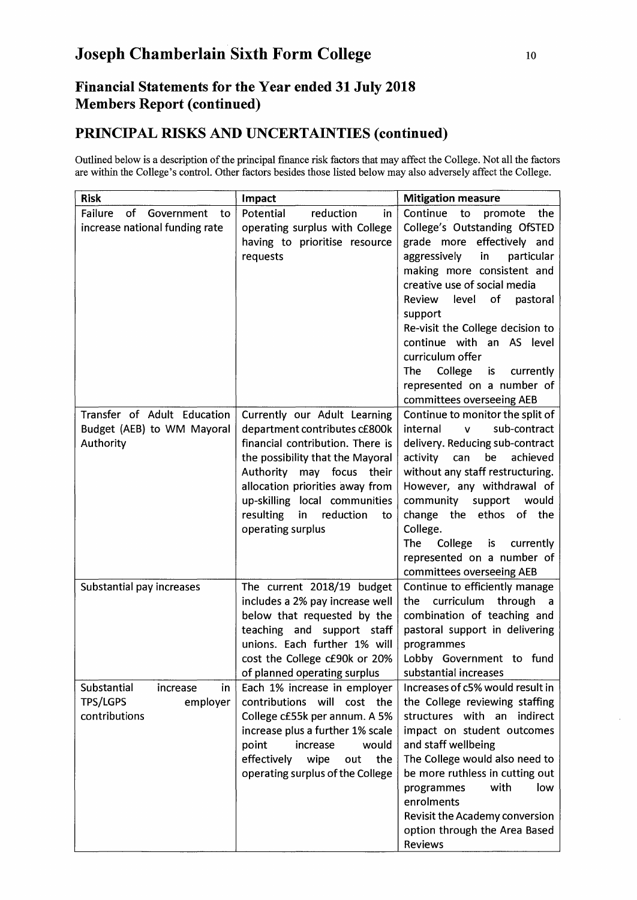## **Financial Statements for the Year ended 31 July 2018 Members Report (continued)**

## **PRINCIPAL RISKS AND UNCERTAINTIES (continued)**

Outlined below is a description of the principal fmance risk factors that may affect the College. Not all the factors are within the College's control. Other factors besides those listed below may also adversely affect the College.

| <b>Risk</b>                                                                   | Impact                                                                                                                                                                                                                                                                                                  | <b>Mitigation measure</b>                                                                                                                                                                                                                                                                                                                                                                                                             |
|-------------------------------------------------------------------------------|---------------------------------------------------------------------------------------------------------------------------------------------------------------------------------------------------------------------------------------------------------------------------------------------------------|---------------------------------------------------------------------------------------------------------------------------------------------------------------------------------------------------------------------------------------------------------------------------------------------------------------------------------------------------------------------------------------------------------------------------------------|
| Failure<br>of<br>Government<br>to<br>increase national funding rate           | Potential<br>reduction<br>in<br>operating surplus with College<br>having to prioritise resource<br>requests                                                                                                                                                                                             | Continue<br>to<br>promote<br>the<br>College's Outstanding OfSTED<br>grade more effectively and<br>aggressively<br>in<br>particular<br>making more consistent and<br>creative use of social media<br>Review<br>of<br>level<br>pastoral<br>support<br>Re-visit the College decision to<br>continue with an AS level<br>curriculum offer<br>College<br>The<br>is<br>currently<br>represented on a number of<br>committees overseeing AEB |
| Transfer of Adult Education<br>Budget (AEB) to WM Mayoral<br>Authority        | Currently our Adult Learning<br>department contributes cf800k<br>financial contribution. There is<br>the possibility that the Mayoral<br>Authority<br>may focus<br>their<br>allocation priorities away from<br>up-skilling local communities<br>resulting<br>in<br>reduction<br>to<br>operating surplus | Continue to monitor the split of<br>internal<br>sub-contract<br>$\mathbf{V}$<br>delivery. Reducing sub-contract<br>be<br>achieved<br>activity<br>can<br>without any staff restructuring.<br>However, any withdrawal of<br>community support<br>would<br>change the ethos of the<br>College.<br><b>The</b><br>College<br>is<br>currently<br>represented on a number of<br>committees overseeing AEB                                    |
| Substantial pay increases                                                     | The current 2018/19 budget<br>includes a 2% pay increase well<br>below that requested by the<br>teaching and support staff<br>unions. Each further 1% will<br>cost the College c£90k or 20%<br>of planned operating surplus                                                                             | Continue to efficiently manage<br>curriculum<br>through<br>the<br>a,<br>combination of teaching and<br>pastoral support in delivering<br>programmes<br>Lobby Government to fund<br>substantial increases                                                                                                                                                                                                                              |
| Substantial<br>increase<br>in<br><b>TPS/LGPS</b><br>employer<br>contributions | Each 1% increase in employer<br>contributions will cost the<br>College c£55k per annum. A 5%<br>increase plus a further 1% scale<br>point<br>increase<br>would<br>effectively<br>wipe<br>the<br>out<br>operating surplus of the College                                                                 | Increases of c5% would result in<br>the College reviewing staffing<br>structures with an indirect<br>impact on student outcomes<br>and staff wellbeing<br>The College would also need to<br>be more ruthless in cutting out<br>with<br>low<br>programmes<br>enrolments<br>Revisit the Academy conversion<br>option through the Area Based<br>Reviews                                                                                  |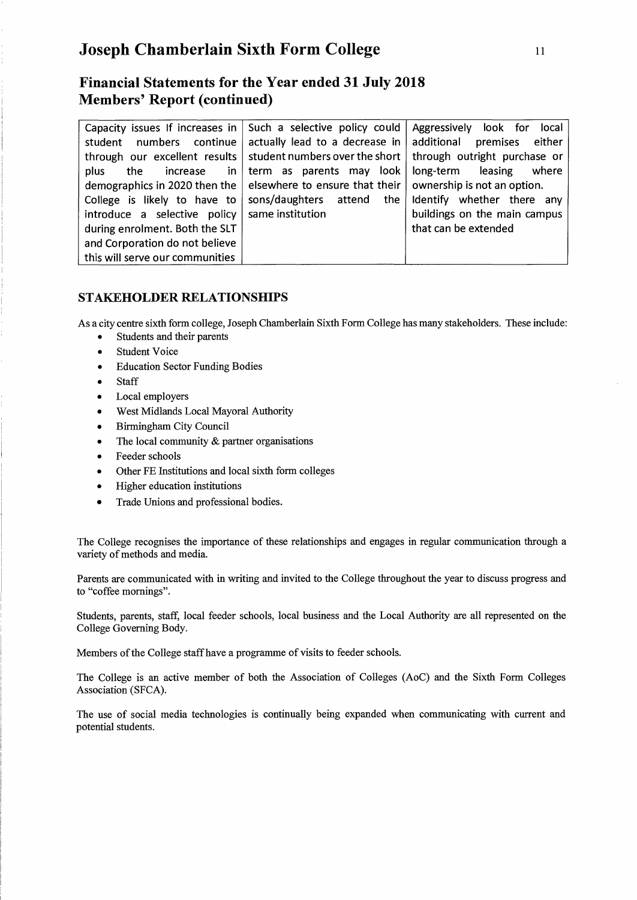## **Financial Statements for the Year ended 31 July 2018 Members' Report (continued)**

| Capacity issues If increases in $ $ | Such a selective policy could    | Aggressively look for<br>local |
|-------------------------------------|----------------------------------|--------------------------------|
| numbers continue<br>student         | actually lead to a decrease in   | additional premises either     |
| through our excellent results       | student numbers over the short   | through outright purchase or   |
| in<br>plus<br>the<br>increase       | term as parents may look         | long-term leasing<br>where     |
| demographics in 2020 then the       | elsewhere to ensure that their   | ownership is not an option.    |
| College is likely to have to        | sons/daughters attend<br>the $ $ | Identify whether there any     |
| introduce a selective policy        | same institution                 | buildings on the main campus   |
| during enrolment. Both the SLT      |                                  | that can be extended           |
| and Corporation do not believe      |                                  |                                |
| this will serve our communities     |                                  |                                |

### **STAKEHOLDER RELATIONSHIPS**

As a city centre sixth form college, Joseph Chamberlain Sixth Form College has many stakeholders. These include:

- Students and their parents
- Student Voice
- Education Sector Funding Bodies
- Staff
- Local employers
- West Midlands Local Mayoral Authority
- Birmingham City Council
- The local community  $&$  partner organisations
- Feeder schools
- Other FE Institutions and local sixth form colleges
- Higher education institutions
- Trade Unions and professional bodies.

The College recognises the importance of these relationships and engages in regular communication through a variety of methods and media.

Parents are communicated with in writing and invited to the College throughout the year to discuss progress and to "coffee mornings".

Students, parents, staff, local feeder schools, local business and the Local Authority are all represented on the College Governing Body.

Members of the College staff have a programme of visits to feeder schools.

The College is an active member of both the Association of Colleges (AoC) and the Sixth Form Colleges Association (SFCA).

The use of social media technologies is continually being expanded when communicating with current and potential students.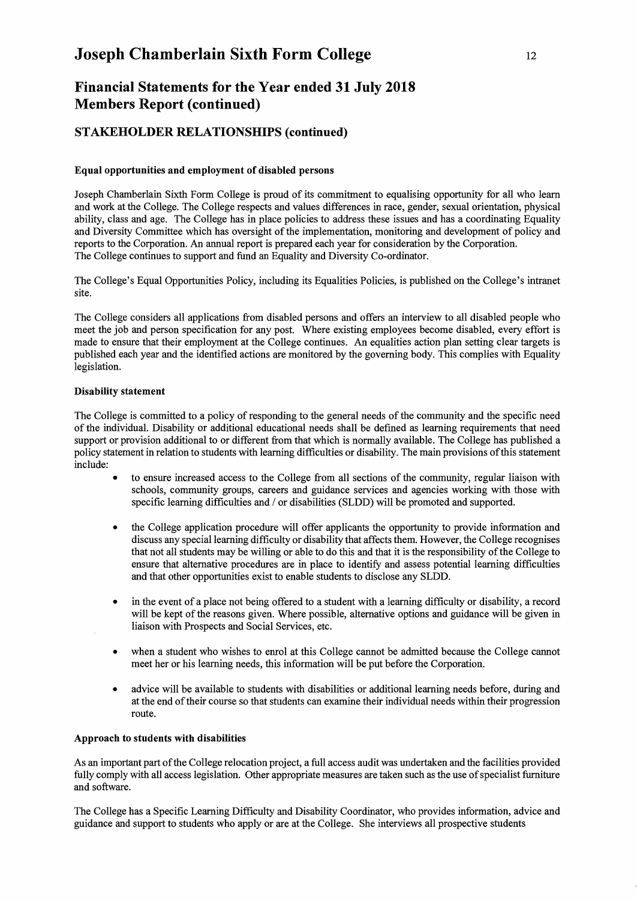## **Financial Statements for the Year ended 31 July 2018 Members Report (continued)**

### **STAKEHOLDER RELATIONSHIPS (continued)**

#### **Equal opportunities and employment of disabled persons**

Joseph Chamberlain Sixth Form College is proud of its commitment to equalising opportunity for all who learn and work at the College. The College respects and values differences in race, gender, sexual orientation, physical ability, class and age. The College has in place policies to address these issues and has a coordinating Equality and Diversity Committee which has oversight of the implementation, monitoring and development of policy and reports to the Corporation. An annual report is prepared each year for consideration by the Corporation. The College continues to support and fund an Equality and Diversity Co-ordinator.

The College's Equal Opportunities Policy, including its Equalities Policies, is published on the College's intranet site.

The College considers all applications from disabled persons and offers an interview to all disabled people who meet the job and person specification for any post. Where existing employees become disabled, every effort is made to ensure that their employment at the College continues. An equalities action plan setting clear targets is published each year and the identified actions are monitored by the governing body. This complies with Equality legislation.

#### **Disability statement**

The College is committed to a policy of responding to the general needs of the community and the specific need of the individual. Disability or additional educational needs shall be defined as learning requirements that need support or provision additional to or different from that which is normally available. The College has published a policy statement in relation to students with learning difficulties or disability. The main provisions of this statement include:

- to ensure increased access to the College from all sections of the community, regular liaison with schools, community groups, careers and guidance services and agencies working with those with specific learning difficulties and / or disabilities (SLDD) will be promoted and supported.
- the College application procedure will offer applicants the opportunity to provide information and discuss any special learning difficulty or disability that affects them. However, the College recognises that not all students may be willing or able to do this and that it is the responsibility of the College to ensure that alternative procedures are in place to identify and assess potential learning difficulties and that other opportunities exist to enable students to disclose any SLDD.
- in the event of a place not being offered to a student with a learning difficulty or disability, a record will be kept of the reasons given. Where possible, alternative options and guidance will be given in liaison with Prospects and Social Services, etc.
- when a student who wishes to enrol at this College cannot be admitted because the College cannot meet her or his learning needs, this information will be put before the Corporation.
- advice will be available to students with disabilities or additional learning needs before, during and at the end of their course so that students can examine their individual needs within their progression route.

#### **Approach to students with disabilities**

As an important part of the College relocation project, a full access audit was undertaken and the facilities provided fully comply with all access legislation. Other appropriate measures are taken such as the use of specialist furniture and software.

The College has a Specific Learning Difficulty and Disability Coordinator, who provides information, advice and guidance and support to students who apply or are at the College. She interviews all prospective students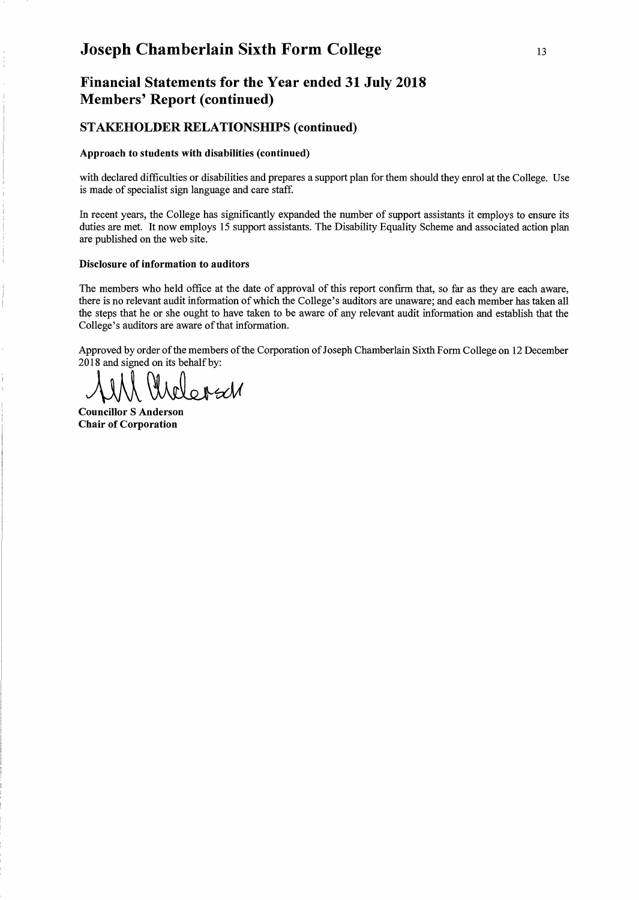## **Financial Statements for the Year ended 31 July 2018 Members' Report (continued)**

### **STAKEHOLDER RELATIONSHIPS (continued)**

#### **Approach to students with disabilities (continued)**

with declared difficulties or disabilities and prepares a support plan for them should they enrol at the College. Use is made of specialist sign language and care staff.

In recent years, the College has significantly expanded the number of support assistants it employs to ensure its duties are met. It now employs 15 support assistants. The Disability Equality Scheme and associated action plan are published on the web site.

#### **Disclosure of information to auditors**

The members who held office at the date of approval of this report confirm that, so far as they are each aware, there is no relevant audit information of which the College's auditors are unaware; and each member has taken all the steps that he or she ought to have taken to be aware of any relevant audit information and establish that the College's auditors are aware of that information.

Approved by order of the members of the Corporation of Joseph Chamberlain Sixth Form College on 12 December 2018 and signed on its behalf by:

1 Und

**Councillor S Anderson Chair of Corporation**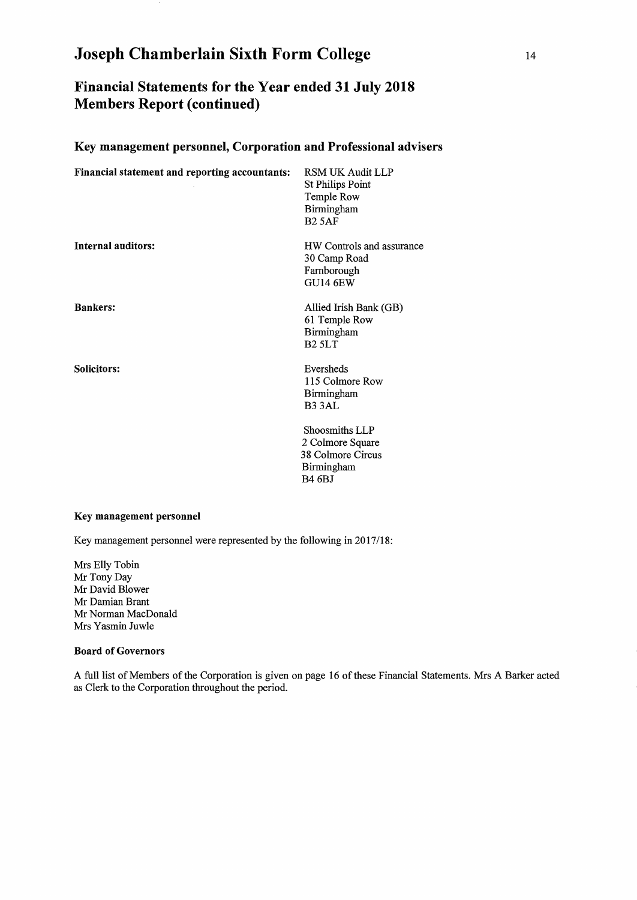## Financial Statements for the Year ended 31 July 2018 Members Report (continued)

### Key management personnel, Corporation and Professional advisers

| Financial statement and reporting accountants: | RSM UK Audit LLP<br><b>St Philips Point</b><br>Temple Row<br>Birmingham<br><b>B2 5AF</b> |
|------------------------------------------------|------------------------------------------------------------------------------------------|
| <b>Internal auditors:</b>                      | HW Controls and assurance<br>30 Camp Road<br>Farnborough<br><b>GU14 6EW</b>              |
| <b>Bankers:</b>                                | Allied Irish Bank (GB)<br>61 Temple Row<br>Birmingham<br>B <sub>2</sub> 5LT              |
| <b>Solicitors:</b>                             | Eversheds<br>115 Colmore Row<br>Birmingham<br>B <sub>3</sub> 3AL                         |
|                                                | Shoosmiths LLP<br>2 Colmore Square<br>38 Colmore Circus<br>Birmingham<br><b>B4 6BJ</b>   |

#### Key management personnel

Key management personnel were represented by the following in 2017/18:

Mrs Elly Tobin Mr Tony Day Mr David Blower Mr Damian Brant Mr Norman MacDonald Mrs Yasmin Juwle

#### Board of Governors

A full list of Members of the Corporation is given on page 16 of these Financial Statements. Mrs A Barker acted as Clerk to the Corporation throughout the period.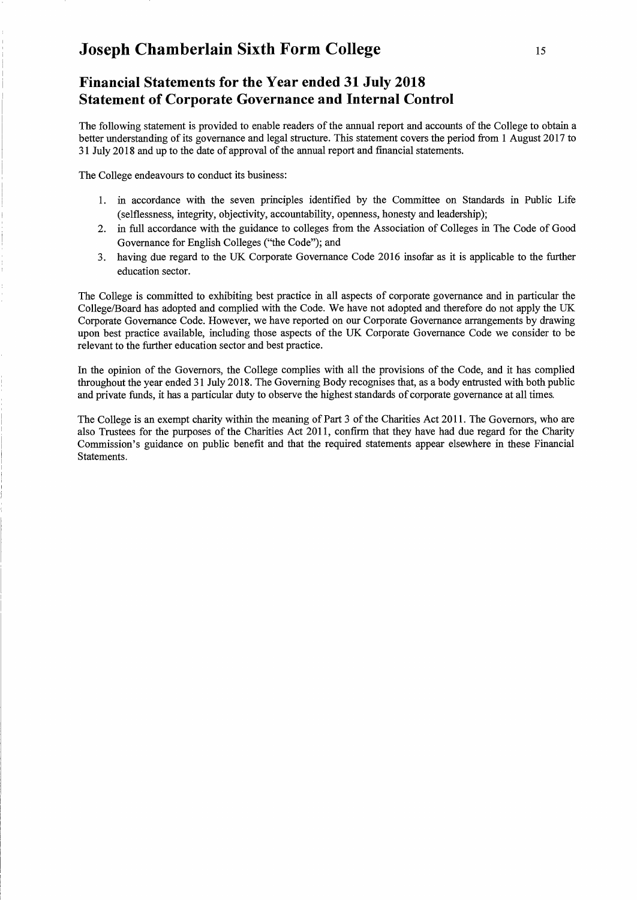## **Financial Statements for the Year ended 31 July 2018 Statement of Corporate Governance and Internal Control**

The following statement is provided to enable readers of the annual report and accounts of the College to obtain a better understanding of its governance and legal structure. This statement covers the period from 1 August 2017 to 31 July 2018 and up to the date of approval of the annual report and financial statements.

The College endeavours to conduct its business:

- 1. in accordance with the seven principles identified by the Committee on Standards in Public Life (selflessness, integrity, objectivity, accountability, openness, honesty and leadership);
- 2. in full accordance with the guidance to colleges from the Association of Colleges in The Code of Good Governance for English Colleges ("the Code"); and
- 3. having due regard to the UK Corporate Governance Code 2016 insofar as it is applicable to the further education sector.

The College is committed to exhibiting best practice in all aspects of corporate governance and in particular the College/Board has adopted and complied with the Code. We have not adopted and therefore do not apply the UK Corporate Governance Code. However, we have reported on our Corporate Governance arrangements by drawing upon best practice available, including those aspects of the UK Corporate Governance Code we consider to be relevant to the further education sector and best practice.

In the opinion of the Governors, the College complies with all the provisions of the Code, and it has complied throughout the year ended 31 July 2018. The Governing Body recognises that, as a body entrusted with both public and private funds, it has a particular duty to observe the highest standards of corporate governance at all times.

The College is an exempt charity within the meaning of Part 3 of the Charities Act 2011. The Governors, who are also Trustees for the purposes of the Charities Act 2011, confirm that they have had due regard for the Charity Commission's guidance on public benefit and that the required statements appear elsewhere in these Financial Statements.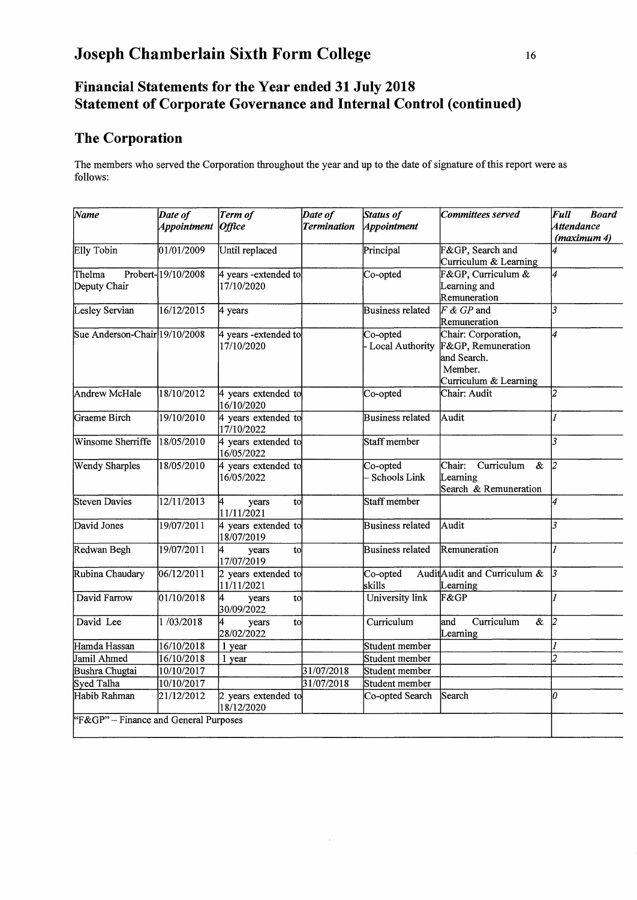## **Financial Statements for the Year ended 31 July 2018 Statement of Corporate Governance and Internal Control (continued)**

## **The Corporation**

The members who served the Corporation throughout the year and up to the date of signature of this report were as follows:

| $\sqrt{N}$ ame                        | Date of            | Term of                           | Date of            | <b>Status of</b>         | Committees served                                              | Full<br><b>Board</b>             |
|---------------------------------------|--------------------|-----------------------------------|--------------------|--------------------------|----------------------------------------------------------------|----------------------------------|
|                                       | Appointment Office |                                   | <b>Termination</b> | Appointment              |                                                                | <b>Attendance</b><br>(maximum 4) |
| Elly Tobin                            | 01/01/2009         | Until replaced                    |                    | Principal                | F&GP, Search and                                               | 4                                |
|                                       |                    |                                   |                    |                          | Curriculum & Learning                                          |                                  |
| Thelma                                | Probert-19/10/2008 | 4 years - extended to             |                    | Co-opted                 | F&GP, Curriculum &                                             | 4                                |
| Deputy Chair                          |                    | 17/10/2020                        |                    |                          | Learning and                                                   |                                  |
|                                       |                    |                                   |                    |                          | Remuneration                                                   |                                  |
| Lesley Servian                        | 16/12/2015         | 4 years                           |                    | Business related         | $F \& GP$ and                                                  | 3                                |
|                                       |                    |                                   |                    |                          | Remuneration                                                   |                                  |
| Sue Anderson-Chair 19/10/2008         |                    | 4 years - extended to             |                    | Co-opted                 | Chair: Corporation,                                            | 4                                |
|                                       |                    | 17/10/2020                        |                    | - Local Authority        | F&GP, Remuneration                                             |                                  |
|                                       |                    |                                   |                    |                          | and Search.                                                    |                                  |
|                                       |                    |                                   |                    |                          | Member.                                                        |                                  |
|                                       |                    |                                   |                    |                          | Curriculum & Learning                                          |                                  |
| <b>Andrew McHale</b>                  | 18/10/2012         | 4 years extended to<br>16/10/2020 |                    | Co-opted                 | Chair: Audit                                                   | $\overline{2}$                   |
| Graeme Birch                          | 19/10/2010         | 4 years extended to<br>17/10/2022 |                    | <b>Business related</b>  | Audit                                                          |                                  |
| Winsome Sherriffe                     | 18/05/2010         | 4 years extended to<br>16/05/2022 |                    | Staff member             |                                                                | R.                               |
| Wendy Sharples                        | 18/05/2010         | 4 years extended to<br>16/05/2022 |                    | Co-opted<br>Schools Link | Chair:<br>Curriculum<br>$\boldsymbol{\mathcal{X}}$<br>Learning | $\overline{2}$                   |
|                                       |                    |                                   |                    |                          | Search & Remuneration                                          |                                  |
| <b>Steven Davies</b>                  | 12/11/2013         | 4<br>to<br>years<br>11/11/2021    |                    | Staff member             |                                                                | 4                                |
| David Jones                           | 19/07/2011         | 4 years extended to<br>18/07/2019 |                    | <b>Business related</b>  | Audit                                                          | R.                               |
| Redwan Begh                           | 19/07/2011         | 4<br>to<br>years<br>17/07/2019    |                    | Business related         | Remuneration                                                   |                                  |
| Rubina Chaudary                       | 06/12/2011         | 2 years extended to               |                    | Co-opted                 | AuditAudit and Curriculum &                                    | lз                               |
|                                       |                    | 11/11/2021                        |                    | skills                   | Learning                                                       |                                  |
| David Farrow                          | 01/10/2018         | 4<br>years<br>tol<br>30/09/2022   |                    | University link          | F&GP                                                           |                                  |
| David Lee                             | 1/03/2018          | to<br>years<br>28/02/2022         |                    | Curriculum               | and<br>Curriculum<br>&<br>Learning                             | 2                                |
| Hamda Hassan                          | 16/10/2018         | 1 year                            |                    | Student member           |                                                                |                                  |
| Jamil Ahmed                           | 16/10/2018         | 1 year                            |                    | Student member           |                                                                | $\overline{c}$                   |
| Bushra Chugtai                        | 10/10/2017         |                                   | 31/07/2018         | Student member           |                                                                |                                  |
| Syed Talha                            | 10/10/2017         |                                   | 31/07/2018         | Student member           |                                                                |                                  |
| Habib Rahman                          | 21/12/2012         | 2 years extended to<br>18/12/2020 |                    | Co-opted Search          | Search                                                         | n                                |
| "F&GP" - Finance and General Purposes |                    |                                   |                    |                          |                                                                |                                  |

 $\bar{z}$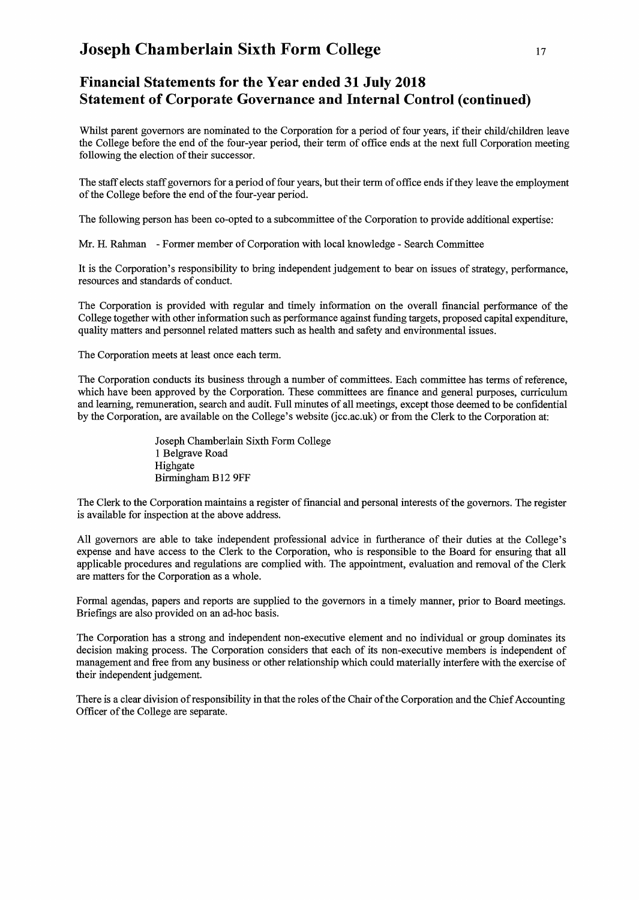## **Financial Statements for the Year ended 31 July 2018 Statement of Corporate Governance and Internal Control (continued)**

Whilst parent governors are nominated to the Corporation for a period of four years, if their child/children leave the College before the end of the four-year period, their term of office ends at the next full Corporation meeting following the election of their successor.

The staff elects staff governors for a period of four years, but their term of office ends if they leave the employment of the College before the end of the four-year period.

The following person has been co-opted to a subcommittee of the Corporation to provide additional expertise:

Mr. H. Rahman - Former member of Corporation with local knowledge - Search Committee

It is the Corporation's responsibility to bring independent judgement to bear on issues of strategy, performance, resources and standards of conduct.

The Corporation is provided with regular and timely information on the overall financial performance of the College together with other information such as performance against funding targets, proposed capital expenditure, quality matters and personnel related matters such as health and safety and environmental issues.

The Corporation meets at least once each term.

The Corporation conducts its business through a number of committees. Each committee has terms of reference, which have been approved by the Corporation. These committees are fmance and general purposes, curriculum and learning, remuneration, search and audit. Full minutes of all meetings, except those deemed to be confidential by the Corporation, are available on the College's website (jcc.ac.uk) or from the Clerk to the Corporation at:

> Joseph Chamberlain Sixth Form College 1 Belgrave Road Highgate Birmingham B12 9FF

The Clerk to the Corporation maintains a register of financial and personal interests of the governors. The register is available for inspection at the above address.

All governors are able to take independent professional advice in furtherance of their duties at the College's expense and have access to the Clerk to the Corporation, who is responsible to the Board for ensuring that all applicable procedures and regulations are complied with. The appointment, evaluation and removal of the Clerk are matters for the Corporation as a whole.

Formal agendas, papers and reports are supplied to the governors in a timely manner, prior to Board meetings. Briefmgs are also provided on an ad-hoc basis.

The Corporation has a strong and independent non-executive element and no individual or group dominates its decision making process. The Corporation considers that each of its non-executive members is independent of management and free from any business or other relationship which could materially interfere with the exercise of their independent judgement.

There is a clear division of responsibility in that the roles of the Chair of the Corporation and the Chief Accounting Officer of the College are separate.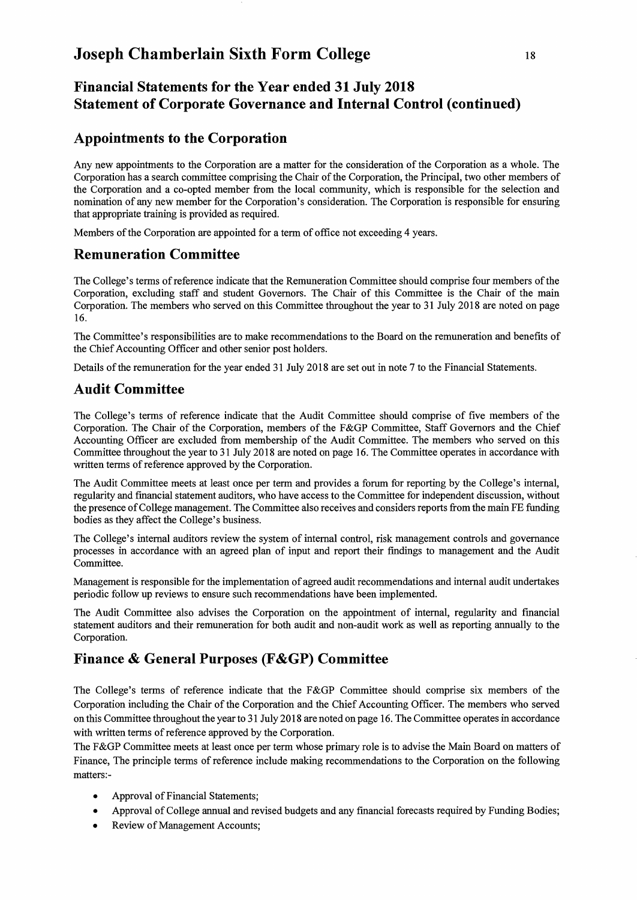## **Financial Statements for the Year ended 31 July 2018 Statement of Corporate Governance and Internal Control (continued)**

## **Appointments to the Corporation**

Any new appointments to the Corporation are a matter for the consideration of the Corporation as a whole. The Corporation has a search committee comprising the Chair of the Corporation, the Principal, two other members of the Corporation and a co-opted member from the local community, which is responsible for the selection and nomination of any new member for the Corporation's consideration. The Corporation is responsible for ensuring that appropriate training is provided as required.

Members of the Corporation are appointed for a term of office not exceeding 4 years.

## **Remuneration Committee**

The College's terms of reference indicate that the Remuneration Committee should comprise four members of the Corporation, excluding staff and student Governors. The Chair of this Committee is the Chair of the main Corporation. The members who served on this Committee throughout the year to 31 July 2018 are noted on page 16.

The Committee's responsibilities are to make recommendations to the Board on the remuneration and benefits of the Chief Accounting Officer and other senior post holders.

Details of the remuneration for the year ended 31 July 2018 are set out in note 7 to the Financial Statements.

## **Audit Committee**

The College's terms of reference indicate that the Audit Committee should comprise of five members of the Corporation. The Chair of the Corporation, members of the F&GP Committee, Staff Governors and the Chief Accounting Officer are excluded from membership of the Audit Committee. The members who served on this Committee throughout the year to 31 July 2018 are noted on page 16. The Committee operates in accordance with written terms of reference approved by the Corporation.

The Audit Committee meets at least once per term and provides a forum for reporting by the College's internal, regularity and financial statement auditors, who have access to the Committee for independent discussion, without the presence of College management. The Committee also receives and considers reports from the main FE funding bodies as they affect the College's business.

The College's internal auditors review the system of internal control, risk management controls and governance processes in accordance with an agreed plan of input and report their findings to management and the Audit Committee.

Management is responsible for the implementation of agreed audit recommendations and internal audit undertakes periodic follow up reviews to ensure such recommendations have been implemented.

The Audit Committee also advises the Corporation on the appointment of internal, regularity and financial statement auditors and their remuneration for both audit and non-audit work as well as reporting annually to the Corporation.

## **Finance & General Purposes (F&GP) Committee**

The College's terms of reference indicate that the F&GP Committee should comprise six members of the Corporation including the Chair of the Corporation and the Chief Accounting Officer. The members who served on this Committee throughout the year to 31 July 2018 are noted on page 16. The Committee operates in accordance with written terms of reference approved by the Corporation.

The F&GP Committee meets at least once per term whose primary role is to advise the Main Board on matters of Finance, The principle terms of reference include making recommendations to the Corporation on the following matters:-

- Approval of Financial Statements;
- Approval of College annual and revised budgets and any financial forecasts required by Funding Bodies;
- Review of Management Accounts;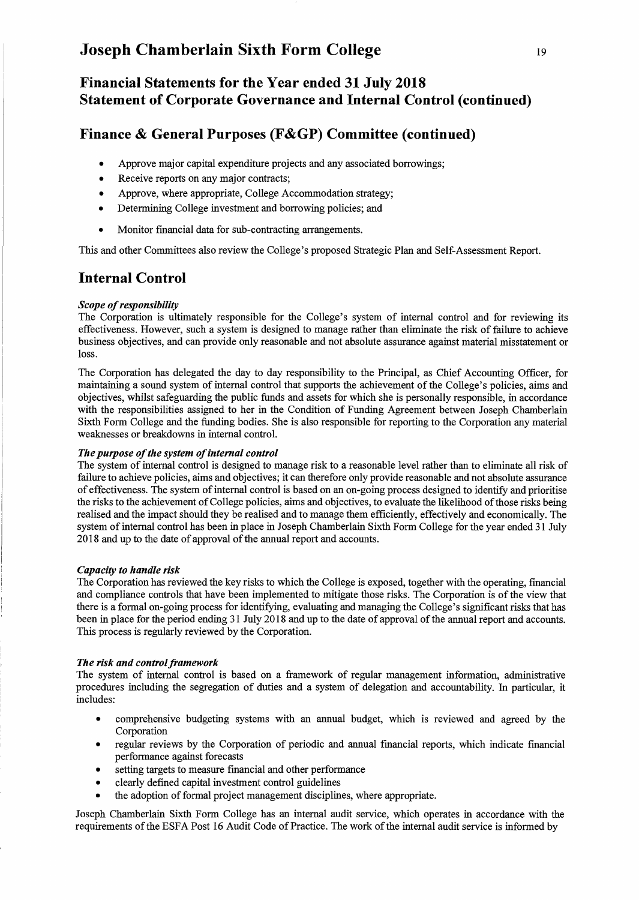## **Financial Statements for the Year ended 31 July 2018 Statement of Corporate Governance and Internal Control (continued)**

## **Finance & General Purposes (F&GP) Committee (continued)**

- Approve major capital expenditure projects and any associated borrowings;
- Receive reports on any major contracts;
- Approve, where appropriate, College Accommodation strategy;
- Determining College investment and borrowing policies; and
- Monitor financial data for sub-contracting arrangements.

This and other Committees also review the College's proposed Strategic Plan and Self-Assessment Report.

## **Internal Control**

#### *Scope of responsibility*

The Corporation is ultimately responsible for the College's system of internal control and for reviewing its effectiveness. However, such a system is designed to manage rather than eliminate the risk of failure to achieve business objectives, and can provide only reasonable and not absolute assurance against material misstatement or loss.

The Corporation has delegated the day to day responsibility to the Principal, as Chief Accounting Officer, for maintaining a sound system of internal control that supports the achievement of the College's policies, aims and objectives, whilst safeguarding the public funds and assets for which she is personally responsible, in accordance with the responsibilities assigned to her in the Condition of Funding Agreement between Joseph Chamberlain Sixth Form College and the funding bodies. She is also responsible for reporting to the Corporation any material weaknesses or breakdowns in internal control.

#### *The purpose of the system of internal control*

The system of internal control is designed to manage risk to a reasonable level rather than to eliminate all risk of failure to achieve policies, aims and objectives; it can therefore only provide reasonable and not absolute assurance of effectiveness. The system of internal control is based on an on-going process designed to identify and prioritise the risks to the achievement of College policies, aims and objectives, to evaluate the likelihood of those risks being realised and the impact should they be realised and to manage them efficiently, effectively and economically. The system of internal control has been in place in Joseph Chamberlain Sixth Form College for the year ended 31 July 2018 and up to the date of approval of the annual report and accounts.

#### *Capacity to handle risk*

The Corporation has reviewed the key risks to which the College is exposed, together with the operating, financial and compliance controls that have been implemented to mitigate those risks. The Corporation is of the view that there is a formal on-going process for identifying, evaluating and managing the College's significant risks that has been in place for the period ending 31 July 2018 and up to the date of approval of the annual report and accounts. This process is regularly reviewed by the Corporation.

#### *The risk and control framework*

The system of internal control is based on a framework of regular management information, administrative procedures including the segregation of duties and a system of delegation and accountability. In particular, it includes:

- comprehensive budgeting systems with an annual budget, which is reviewed and agreed by the Corporation
- regular reviews by the Corporation of periodic and annual financial reports, which indicate financial performance against forecasts
- setting targets to measure financial and other performance
- clearly defined capital investment control guidelines
- the adoption of formal project management disciplines, where appropriate.

Joseph Chamberlain Sixth Form College has an internal audit service, which operates in accordance with the requirements of the ESFA Post 16 Audit Code of Practice. The work of the internal audit service is informed by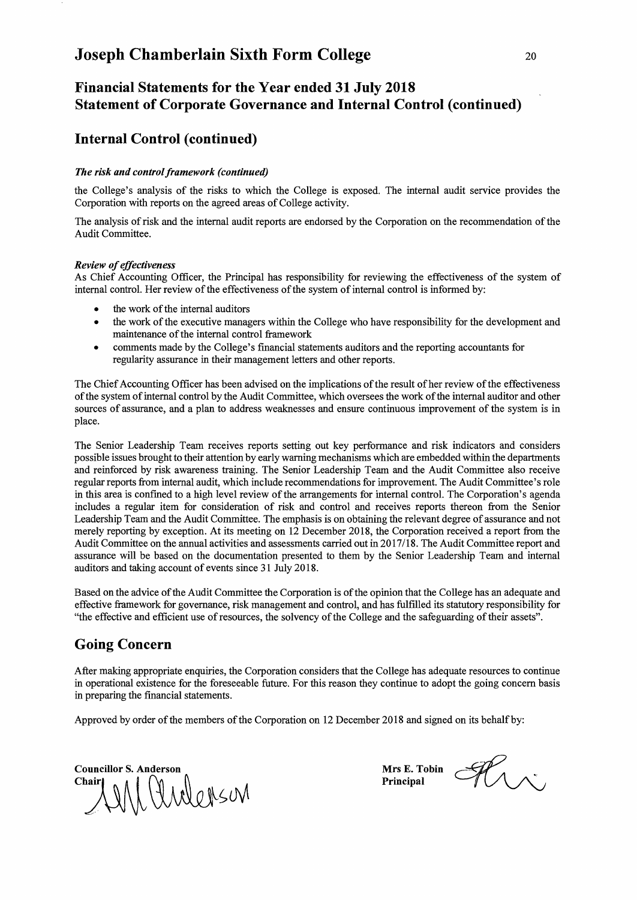## **Financial Statements for the Year ended 31 July 2018 Statement** of Corporate **Governance and Internal Control (continued)**

### **Internal Control (continued)**

### *The risk and control framework (continued)*

the College's analysis of the risks to which the College is exposed. The internal audit service provides the Corporation with reports on the agreed areas of College activity.

The analysis of risk and the internal audit reports are endorsed by the Corporation on the recommendation of the Audit Committee.

#### *Review of effectiveness*

As Chief Accounting Officer, the Principal has responsibility for reviewing the effectiveness of the system of internal control. Her review of the effectiveness of the system of internal control is informed by:

- the work of the internal auditors
- the work of the executive managers within the College who have responsibility for the development and maintenance of the internal control framework
- comments made by the College's fmancial statements auditors and the reporting accountants for regularity assurance in their management letters and other reports.

The Chief Accounting Officer has been advised on the implications of the result of her review of the effectiveness of the system of internal control by the Audit Committee, which oversees the work of the internal auditor and other sources of assurance, and a plan to address weaknesses and ensure continuous improvement of the system is in place.

The Senior Leadership Team receives reports setting out key performance and risk indicators and considers possible issues brought to their attention by early warning mechanisms which are embedded within the departments and reinforced by risk awareness training. The Senior Leadership Team and the Audit Committee also receive regular reports from internal audit, which include recommendations for improvement. The Audit Committee's role in this area is confmed to a high level review of the arrangements for internal control. The Corporation's agenda includes a regular item for consideration of risk and control and receives reports thereon from the Senior Leadership Team and the Audit Committee. The emphasis is on obtaining the relevant degree of assurance and not merely reporting by exception. At its meeting on 12 December 2018, the Corporation received a report from the Audit Committee on the annual activities and assessments carried out in 2017/18. The Audit Committee report and assurance will be based on the documentation presented to them by the Senior Leadership Team and internal auditors and taking account of events since 31 July 2018.

Based on the advice of the Audit Committee the Corporation is of the opinion that the College has an adequate and effective framework for governance, risk management and control, and has fulfilled its statutory responsibility for "the effective and efficient use of resources, the solvency of the College and the safeguarding of their assets".

### **Going Concern**

After making appropriate enquiries, the Corporation considers that the College has adequate resources to continue in operational existence for the foreseeable future. For this reason they continue to adopt the going concern basis in preparing the fmancial statements.

Approved by order of the members of the Corporation on 12 December 2018 and signed on its behalf by:

Councillor S. Anderson Will Anderson Chair

Mrs E. Tobin Principal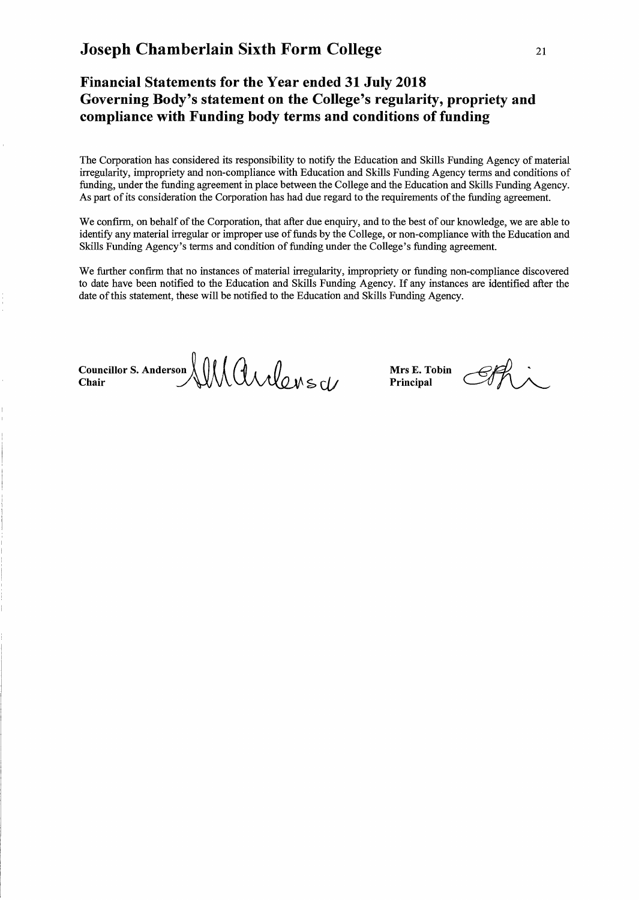## **Financial Statements for the Year ended 31 July 2018 Governing Body's statement on the College's regularity, propriety and compliance with Funding body terms and conditions of funding**

The Corporation has considered its responsibility to notify the Education and Skills Funding Agency of material irregularity, impropriety and non-compliance with Education and Skills Funding Agency terms and conditions of funding, under the funding agreement in place between the College and the Education and Skills Funding Agency. As part of its consideration the Corporation has had due regard to the requirements of the funding agreement.

We confirm, on behalf of the Corporation, that after due enquiry, and to the best of our knowledge, we are able to identify any material irregular or improper use of funds by the College, or non-compliance with the Education and Skills Funding Agency's terms and condition of funding under the College's funding agreement.

We further confirm that no instances of material irregularity, impropriety or funding non-compliance discovered to date have been notified to the Education and Skills Funding Agency. If any instances are identified after the date of this statement, these will be notified to the Education and Skills Funding Agency.

 $\bigcup_{\text{Chain}} \bigcup_{\text{Chain}} \bigcup_{\text{Chain}} \bigcup_{\text{Chain}} \bigcup_{\text{Chain}} \bigcup_{\text{Principal}} \bigcup_{\text{Partial}}$ 

**Principal**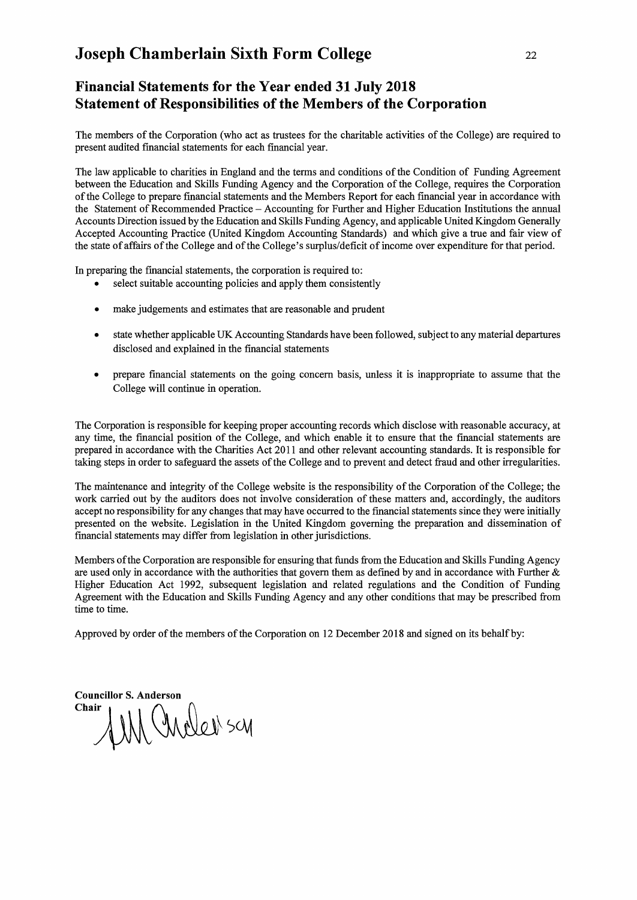## **Financial Statements for the Year ended 31 July 2018 Statement of Responsibilities of the Members of the Corporation**

The members of the Corporation (who act as trustees for the charitable activities of the College) are required to present audited fmancial statements for each financial year.

The law applicable to charities in England and the terms and conditions of the Condition of Funding Agreement between the Education and Skills Funding Agency and the Corporation of the College, requires the Corporation of the College to prepare fmancial statements and the Members Report for each financial year in accordance with the Statement of Recommended Practice - Accounting for Further and Higher Education Institutions the annual Accounts Direction issued by the Education and Skills Funding Agency, and applicable United Kingdom Generally Accepted Accounting Practice (United Kingdom Accounting Standards) and which give a true and fair view of the state of affairs of the College and of the College's surplus/deficit of income over expenditure for that period.

In preparing the fmancial statements, the corporation is required to:

- select suitable accounting policies and apply them consistently
- make judgements and estimates that are reasonable and prudent
- state whether applicable UK Accounting Standards have been followed, subject to any material departures disclosed and explained in the fmancial statements
- prepare financial statements on the going concern basis, unless it is inappropriate to assume that the College will continue in operation.

The Corporation is responsible for keeping proper accounting records which disclose with reasonable accuracy, at any time, the fmancial position of the College, and which enable it to ensure that the fmancial statements are prepared in accordance with the Charities Act 20 Il and other relevant accounting standards. It is responsible for taking steps in order to safeguard the assets of the College and to prevent and detect fraud and other irregularities.

The maintenance and integrity of the College website is the responsibility of the Corporation of the College; the work carried out by the auditors does not involve consideration of these matters and, accordingly, the auditors accept no responsibility for any changes that may have occurred to the fmancial statements since they were initially presented on the website. Legislation in the United Kingdom governing the preparation and dissemination of financial statements may differ from legislation in other jurisdictions.

Members ofthe Corporation are responsible for ensuring that funds from the Education and Skills Funding Agency are used only in accordance with the authorities that govern them as defined by and in accordance with Further & Higher Education Act 1992, subsequent legislation and related regulations and the Condition of Funding Agreement with the Education and Skills Funding Agency and any other conditions that may be prescribed from time to time.

Approved by order of the members of the Corporation on 12 December 2018 and signed on its behalf by:

**Councillor S. Anderson**  f M Chales scy Chair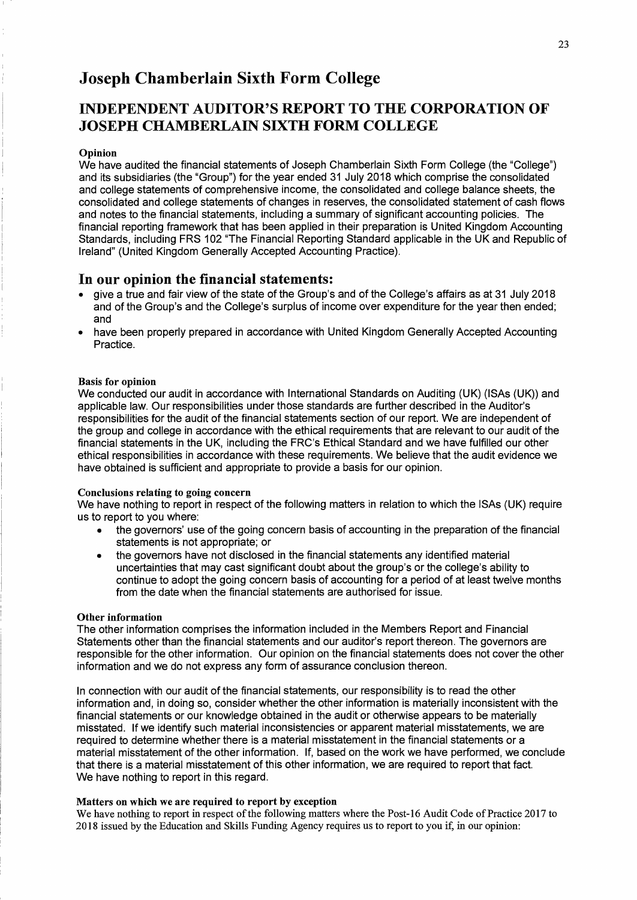## INDEPENDENT AUDITOR'S REPORT TO THE CORPORATION OF JOSEPH CHAMBERLAIN SIXTH FORM COLLEGE

#### Opinion

We have audited the financial statements of Joseph Chamberlain Sixth Form College (the "College") and its subsidiaries (the "Group") for the year ended 31 July 2018 which comprise the consolidated and college statements of comprehensive income, the consolidated and college balance sheets, the consolidated and college statements of changes in reserves, the consolidated statement of cash flows and notes to the financial statements, including a summary of significant accounting policies. The financial reporting framework that has been applied in their preparation is United Kingdom Accounting Standards, including FRS 102 "The Financial Reporting Standard applicable in the UK and Republic of Ireland" (United Kingdom Generally Accepted Accounting Practice).

### In our opinion the financial statements:

- give a true and fair view of the state of the Group's and of the College's affairs as at 31 July 2018 and of the Group's and the College's surplus of income over expenditure for the year then ended; and
- have been properly prepared in accordance with United Kingdom Generally Accepted Accounting Practice.

#### Basis for opinion

We conducted our audit in accordance with International Standards on Auditing (UK) (ISAs (UK)) and applicable law. Our responsibilities under those standards are further described in the Auditor's responsibilities for the audit of the financial statements section of our report. We are independent of the group and college in accordance with the ethical requirements that are relevant to our audit of the financial statements in the UK, including the FRC's Ethical Standard and we have fulfilled our other ethical responsibilities in accordance with these requirements. We believe that the audit evidence we have obtained is sufficient and appropriate to provide a basis for our opinion.

#### Conclusions relating to going concern

We have nothing to report in respect of the following matters in relation to which the ISAs (UK) require us to report to you where:

- the governors' use of the going concern basis of accounting in the preparation of the financial statements is not appropriate; or
- the governors have not disclosed in the financial statements any identified material uncertainties that may cast significant doubt about the group's or the college's ability to continue to adopt the going concern basis of accounting for a period of at least twelve months from the date when the financial statements are authorised for issue.

#### Other information

The other information comprises the information included in the Members Report and Financial Statements other than the financial statements and our auditor's report thereon. The governors are responsible for the other information. Our opinion on the financial statements does not cover the other information and we do not express any form of assurance conclusion thereon.

In connection with our audit of the financial statements, our responsibility is to read the other information and, in doing so, consider whether the other information is materially inconsistent with the financial statements or our knowledge obtained in the audit or otherwise appears to be materially misstated. If we identify such material inconsistencies or apparent material misstatements, we are required to determine whether there is a material misstatement in the financial statements or a material misstatement of the other information. If, based on the work we have performed, we conclude that there is a material misstatement of this other information, we are required to report that fact. We have nothing to report in this regard.

### Matters on which we are required to report by exception

We have nothing to report in respect of the following matters where the Post-16 Audit Code of Practice 2017 to 2018 issued by the Education and Skills Funding Agency requires us to report to you if, in our opinion: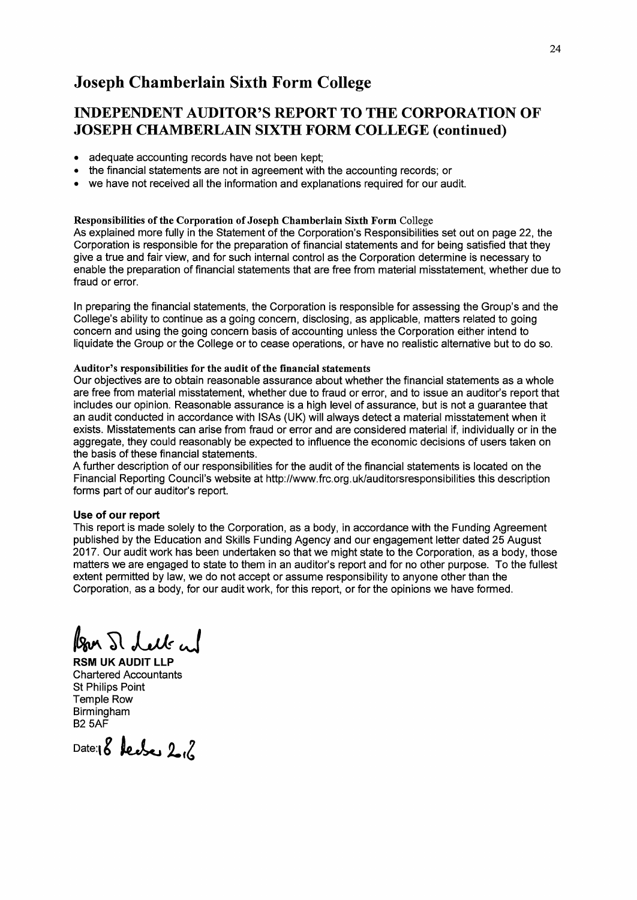## INDEPENDENT AUDITOR'S REPORT TO THE CORPORATION OF JOSEPH CHAMBERLAIN SIXTH FORM COLLEGE (continued)

- adequate accounting records have not been kept;
- the financial statements are not in agreement with the accounting records; or
- we have not received all the information and explanations required for our audit.

### Responsibilities of the Corporation of Joseph Chamberlain Sixth Form College

As explained more fully in the Statement of the Corporation's Responsibilities set out on page 22, the Corporation is responsible for the preparation of financial statements and for being satisfied that they give a true and fair view, and for such internal control as the Corporation determine is necessary to enable the preparation of financial statements that are free from material misstatement, whether due to fraud or error.

In preparing the financial statements, the Corporation is responsible for assessing the Group's and the College's ability to continue as a going concern, disclosing, as applicable, matters related to going concern and using the going concern basis of accounting unless the Corporation either intend to liquidate the Group or the College or to cease operations, or have no realistic alternative but to do so.

#### Auditor's responsibilities for the audit of the financial statements

Our objectives are to obtain reasonable assurance about whether the financial statements as a whole are free from material misstatement, whether due to fraud or error, and to issue an auditor's report that includes our opinion. Reasonable assurance is a high level of assurance, but is not a guarantee that an audit conducted in accordance with ISAs (UK) will always detect a material misstatement when it exists. Misstatements can arise from fraud or error and are considered material if, individually or in the aggregate, they could reasonably be expected to influence the economic decisions of users taken on the basis of these financial statements.

A further description of our responsibilities for the audit of the financial statements is located on the Financial Reporting Council's website at http://www.frc.org.uk/auditorsresponsibilities this description forms part of our auditor's report.

#### Use of our report

This report is made solely to the Corporation, as a body, in accordance with the Funding Agreement published by the Education and Skills Funding Agency and our engagement letter dated 25 August 2017. Our audit work has been undertaken so that we might state to the Corporation, as a body, those matters we are engaged to state to them in an auditor's report and for no other purpose. To the fullest extent permitted by law, we do not accept or assume responsibility to anyone other than the Corporation, as a body, for our audit work, for this report, or for the opinions we have formed.

 $\ell_{\text{av}}$   $\Omega$  lett and

RSM UK AUDIT LLP Chartered Accountants St Philips Point Temple Row Birmingham B25AF

Date:18 **leader 2.**6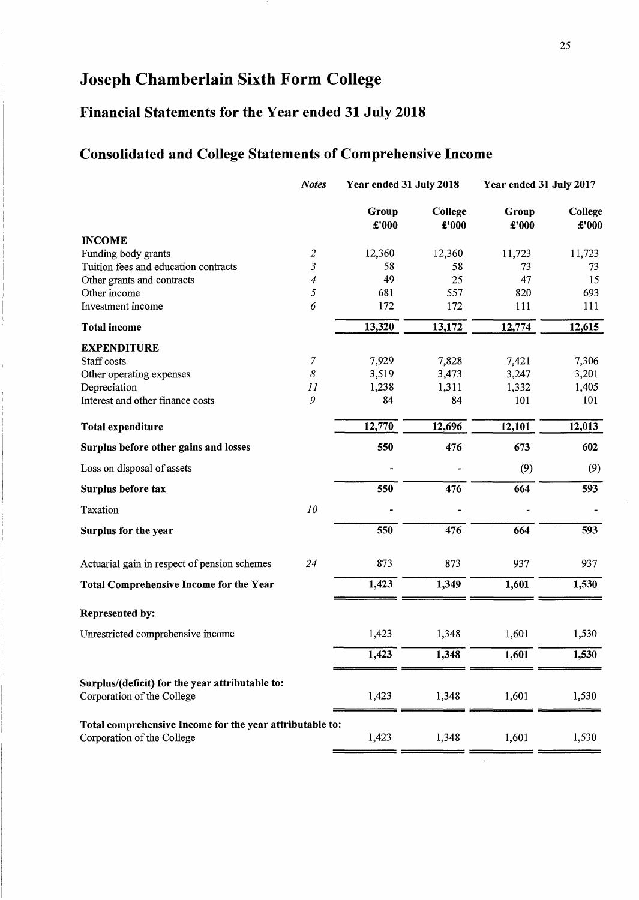# **Financial Statements for the Year ended 31 July 2018**

# **Consolidated and College Statements of Comprehensive Income**

|                                                                                        | <b>Notes</b>         | Year ended 31 July 2018 |                  | Year ended 31 July 2017 |                  |
|----------------------------------------------------------------------------------------|----------------------|-------------------------|------------------|-------------------------|------------------|
|                                                                                        |                      | Group<br>£'000          | College<br>£'000 | Group<br>$\pounds 000$  | College<br>£'000 |
| <b>INCOME</b>                                                                          |                      |                         |                  |                         |                  |
| Funding body grants                                                                    | $\boldsymbol{2}$     | 12,360                  | 12,360           | 11,723                  | 11,723           |
| Tuition fees and education contracts                                                   | $\boldsymbol{\beta}$ | 58                      | 58               | 73                      | 73               |
| Other grants and contracts                                                             | 4                    | 49                      | 25               | 47                      | 15               |
| Other income                                                                           | 5                    | 681                     | 557              | 820                     | 693              |
| Investment income                                                                      | 6                    | 172                     | 172              | 111                     | 111              |
| <b>Total income</b>                                                                    |                      | 13,320                  | 13,172           | 12,774                  | 12,615           |
| <b>EXPENDITURE</b>                                                                     |                      |                         |                  |                         |                  |
| Staff costs                                                                            | 7                    | 7,929                   | 7,828            | 7,421                   | 7,306            |
| Other operating expenses                                                               | 8                    | 3,519                   | 3,473            | 3,247                   | 3,201            |
| Depreciation                                                                           | 11                   | 1,238                   | 1,311            | 1,332                   | 1,405            |
| Interest and other finance costs                                                       | 9                    | 84                      | 84               | 101                     | 101              |
| Total expenditure                                                                      |                      | 12,770                  | 12,696           | 12,101                  | 12,013           |
| Surplus before other gains and losses                                                  |                      | 550                     | 476              | 673                     | 602              |
| Loss on disposal of assets                                                             |                      |                         |                  | (9)                     | (9)              |
| Surplus before tax                                                                     |                      | 550                     | 476              | 664                     | 593              |
| Taxation                                                                               | 10                   |                         |                  |                         |                  |
| Surplus for the year                                                                   |                      | 550                     | 476              | 664                     | 593              |
| Actuarial gain in respect of pension schemes                                           | 24                   | 873                     | 873              | 937                     | 937              |
| Total Comprehensive Income for the Year                                                |                      | 1,423                   | 1,349            | 1,601                   | 1,530            |
| Represented by:                                                                        |                      |                         |                  |                         |                  |
| Unrestricted comprehensive income                                                      |                      | 1,423                   | 1,348            | 1,601                   | 1,530            |
|                                                                                        |                      | 1,423                   | 1,348            | 1,601                   | 1,530            |
| Surplus/(deficit) for the year attributable to:<br>Corporation of the College          |                      | 1,423                   | 1,348            | 1,601                   | 1,530            |
| Total comprehensive Income for the year attributable to:<br>Corporation of the College |                      | 1,423                   | 1,348            | 1,601                   | 1,530            |

 $\bar{\mathbf{v}}$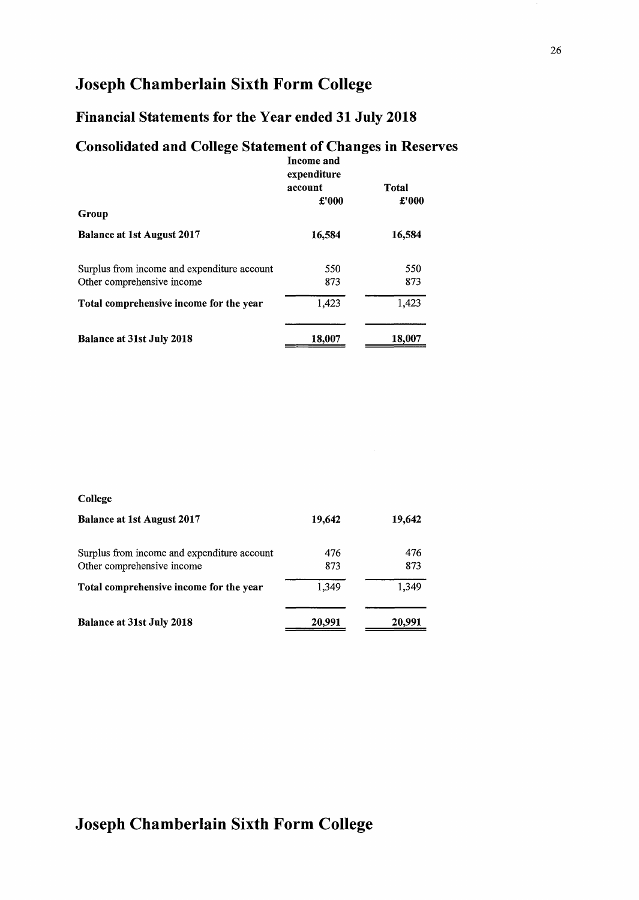## Financial Statements for the Year ended 31 July 2018

## Consolidated and College Statement of Changes in Reserves

|                                             | Income and<br>expenditure<br>account | Total  |
|---------------------------------------------|--------------------------------------|--------|
| Group                                       | £'000                                | £'000  |
|                                             |                                      |        |
| <b>Balance at 1st August 2017</b>           | 16,584                               | 16,584 |
| Surplus from income and expenditure account | 550                                  | 550    |
| Other comprehensive income                  | 873                                  | 873    |
| Total comprehensive income for the year     | 1,423                                | 1,423  |
| <b>Balance at 31st July 2018</b>            | 18,007                               | 18,007 |

### College

| <b>Balance at 1st August 2017</b>           | 19,642 | 19,642 |
|---------------------------------------------|--------|--------|
| Surplus from income and expenditure account | 476    | 476    |
| Other comprehensive income                  | 873    | 873    |
| Total comprehensive income for the year     | 1.349  | 1.349  |
| <b>Balance at 31st July 2018</b>            | 20,991 | 20,991 |

 $\hat{\boldsymbol{\beta}}$ 

# Joseph Chamberlain Sixth Form College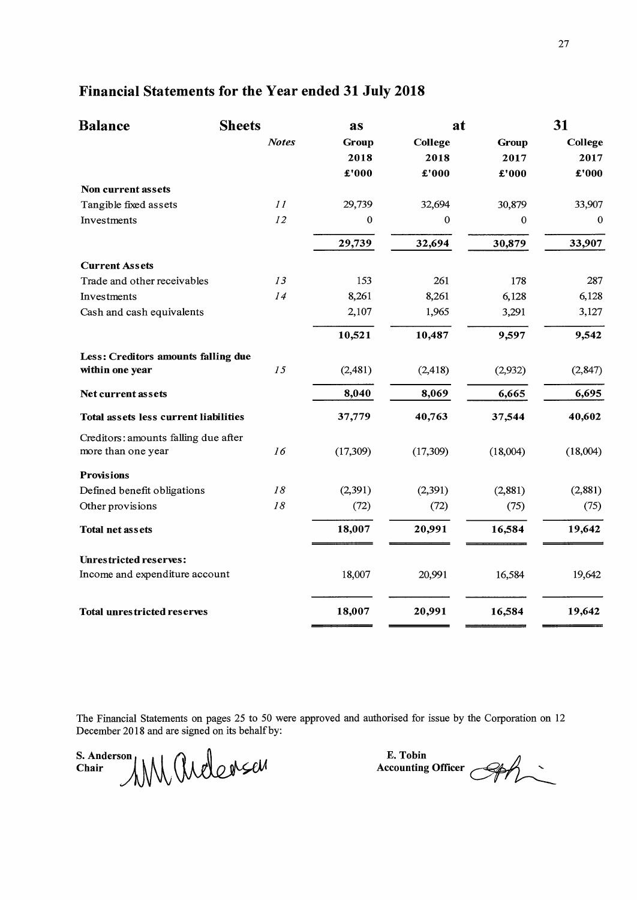# Financial Statements for the Year ended 31 July 2018

| <b>Balance</b>                        | <b>Sheets</b> | as       | at       |              | 31       |
|---------------------------------------|---------------|----------|----------|--------------|----------|
|                                       | <b>Notes</b>  | Group    | College  | <b>Group</b> | College  |
|                                       |               | 2018     | 2018     | 2017         | 2017     |
|                                       |               | £'000    | £'000    | £'000        | £'000    |
| Non current assets                    |               |          |          |              |          |
| Tangible fixed assets                 | 11            | 29,739   | 32,694   | 30,879       | 33,907   |
| Investments                           | 12            | 0        | $\bf{0}$ | $\bf{0}$     | 0        |
|                                       |               | 29,739   | 32,694   | 30,879       | 33,907   |
| <b>Current Assets</b>                 |               |          |          |              |          |
| Trade and other receivables           | 13            | 153      | 261      | 178          | 287      |
| Investments                           | 14            | 8,261    | 8,261    | 6,128        | 6,128    |
| Cash and cash equivalents             |               | 2,107    | 1,965    | 3,291        | 3,127    |
|                                       |               | 10,521   | 10,487   | 9,597        | 9,542    |
| Less: Creditors amounts falling due   |               |          |          |              |          |
| within one year                       | 15            | (2,481)  | (2, 418) | (2,932)      | (2, 847) |
| Net current assets                    |               | 8,040    | 8,069    | 6,665        | 6,695    |
| Total assets less current liabilities |               | 37,779   | 40,763   | 37,544       | 40,602   |
| Creditors: amounts falling due after  |               |          |          |              |          |
| more than one year                    | 16            | (17,309) | (17,309) | (18,004)     | (18,004) |
| <b>Provisions</b>                     |               |          |          |              |          |
| Defined benefit obligations           | 18            | (2, 391) | (2, 391) | (2,881)      | (2,881)  |
| Other provisions                      | 18            | (72)     | (72)     | (75)         | (75)     |
| Total net assets                      |               | 18,007   | 20,991   | 16,584       | 19,642   |
| <b>Unrestricted reserves:</b>         |               |          |          |              |          |
| Income and expenditure account        |               | 18,007   | 20,991   | 16,584       | 19,642   |
| <b>Total unrestricted reserves</b>    |               | 18,007   | 20,991   | 16,584       | 19,642   |

The Financial Statements on pages 25 to 50 were approved and authorised for issue by the Corporation on 12 December 2018 and are signed on its behalf by:

 $\sum_{k=1}^{S. \text{ Anderson}} |M| \left( \sum_{k=1}^{N} a_k \right) \geq 0$  $\text{Char} \qquad \text{AMM} \qquad \text{MMS}$ 

E. Tobin<br>Accounting Officer *QA*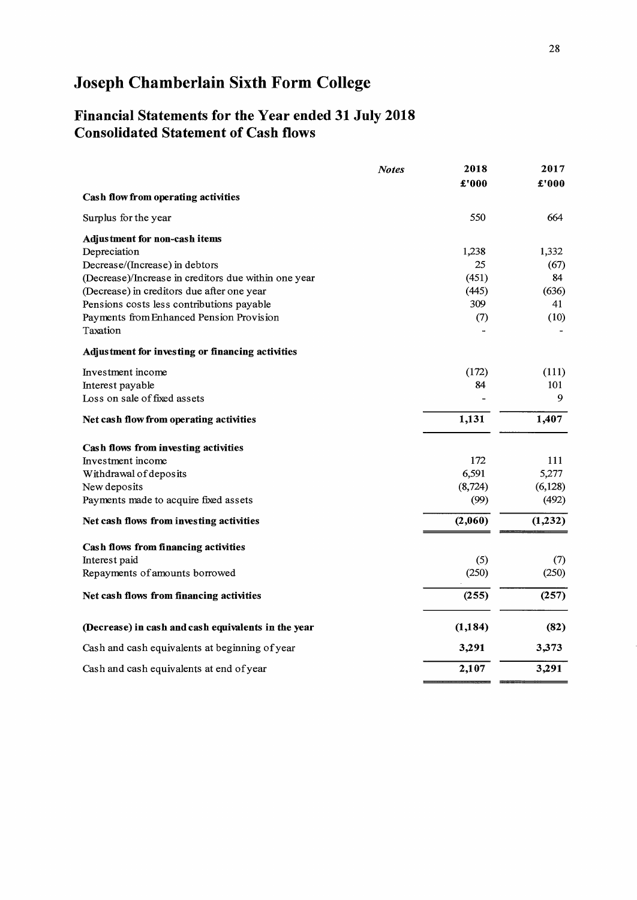## Financial Statements for the Year ended 31 July 2018 Consolidated Statement of Cash flows

|                                                      | <b>Notes</b> | 2018     | 2017    |
|------------------------------------------------------|--------------|----------|---------|
|                                                      |              | £'000    | £'000   |
| Cash flow from operating activities                  |              |          |         |
| Surplus for the year                                 |              | 550      | 664     |
| Adjustment for non-cash items                        |              |          |         |
| Depreciation                                         |              | 1,238    | 1,332   |
| Decrease/(Increase) in debtors                       |              | 25       | (67)    |
| (Decrease)/Increase in creditors due within one year |              | (451)    | 84      |
| (Decrease) in creditors due after one year           |              | (445)    | (636)   |
| Pensions costs less contributions payable            |              | 309      | 41      |
| Payments from Enhanced Pension Provision             |              | (7)      | (10)    |
| Taxation                                             |              |          |         |
| Adjustment for investing or financing activities     |              |          |         |
| Investment income                                    |              | (172)    | (111)   |
| Interest payable                                     |              | 84       | 101     |
| Loss on sale of fixed assets                         |              |          | 9       |
| Net cash flow from operating activities              |              | 1,131    | 1,407   |
| Cash flows from investing activities                 |              |          |         |
| Investment income                                    |              | 172      | 111     |
| Withdrawal of deposits                               |              | 6,591    | 5,277   |
| New deposits                                         |              | (8, 724) | (6,128) |
| Payments made to acquire fixed assets                |              | (99)     | (492)   |
| Net cash flows from investing activities             |              | (2,060)  | (1,232) |
| Cash flows from financing activities                 |              |          |         |
| Interest paid                                        |              | (5)      | (7)     |
| Repayments of amounts borrowed                       |              | (250)    | (250)   |
| Net cash flows from financing activities             |              | (255)    | (257)   |
| (Decrease) in cash and cash equivalents in the year  |              | (1, 184) | (82)    |
| Cash and cash equivalents at beginning of year       |              | 3,291    | 3,373   |
| Cash and cash equivalents at end of year             |              | 2,107    | 3,291   |
|                                                      |              |          |         |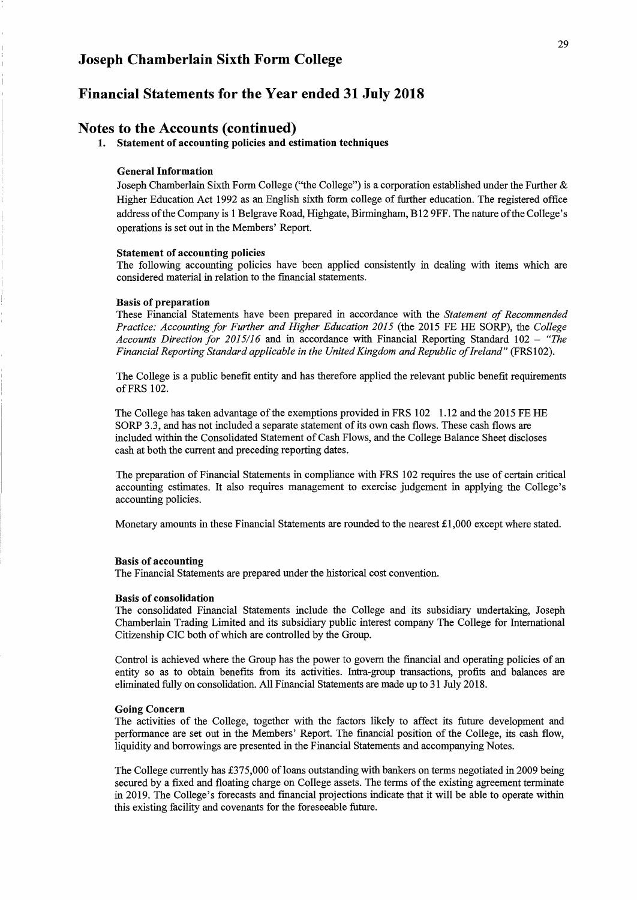### **Financial Statements for the Year ended 31 July 2018**

### **Notes to the Accounts (continued)**

**1. Statement of accounting policies and estimation techniques** 

#### **General Information**

Joseph Chamberlain Sixth Form College ("the College") is a corporation established under the Further & Higher Education Act 1992 as an English sixth form college of further education. The registered office address ofthe Company is 1 Belgrave Road, Highgate, Birmingham, BI2 9FF. The nature ofthe College's operations is set out in the Members' Report.

#### **Statement of accounting policies**

The following accounting policies have been applied consistently in dealing with items which are considered material in relation to the financial statements.

#### **Basis of preparation**

These Financial Statements have been prepared in accordance with the *Statement of Recommended Practice: Accounting for Further and Higher Education 2015* (the 2015 FE HE SORP), the *College Accounts Direction for 2015/16* and in accordance with Financial Reporting Standard 102 - *"The Financial Reporting Standard applicable in the United Kingdom and Republic of Ireland"* (FRS102).

The College is a public benefit entity and has therefore applied the relevant public benefit requirements of FRS 102.

The College has taken advantage of the exemptions provided in FRS 102 1.12 and the 2015 FE HE SORP 3.3, and has not included a separate statement of its own cash flows. These cash flows are included within the Consolidated Statement of Cash Flows, and the College Balance Sheet discloses cash at both the current and preceding reporting dates.

The preparation of Financial Statements in compliance with FRS 102 requires the use of certain critical accounting estimates. It also requires management to exercise judgement in applying the College's accounting policies.

Monetary amounts in these Financial Statements are rounded to the nearest  $\pounds$ 1,000 except where stated.

#### **Basis of accounting**

The Financial Statements are prepared under the historical cost convention.

#### **Basis of consolidation**

The consolidated Financial Statements include the College and its subsidiary undertaking, Joseph Chamberlain Trading Limited and its subsidiary public interest company The College for International Citizenship CIC both of which are controlled by the Group.

Control is achieved where the Group has the power to govern the financial and operating policies of an entity so as to obtain benefits from its activities. Intra-group transactions, profits and balances are eliminated fully on consolidation. All Financial Statements are made up to 31 July 2018.

#### **Going Concern**

The activities of the College, together with the factors likely to affect its future development and performance are set out in the Members' Report. The financial position of the College, its cash flow, liquidity and borrowings are presented in the Financial Statements and accompanying Notes.

The College currently has £375,000 of loans outstanding with bankers on terms negotiated in 2009 being secured by a fixed and floating charge on College assets. The terms of the existing agreement terminate in 2019. The College's forecasts and financial projections indicate that it will be able to operate within this existing facility and covenants for the foreseeable future.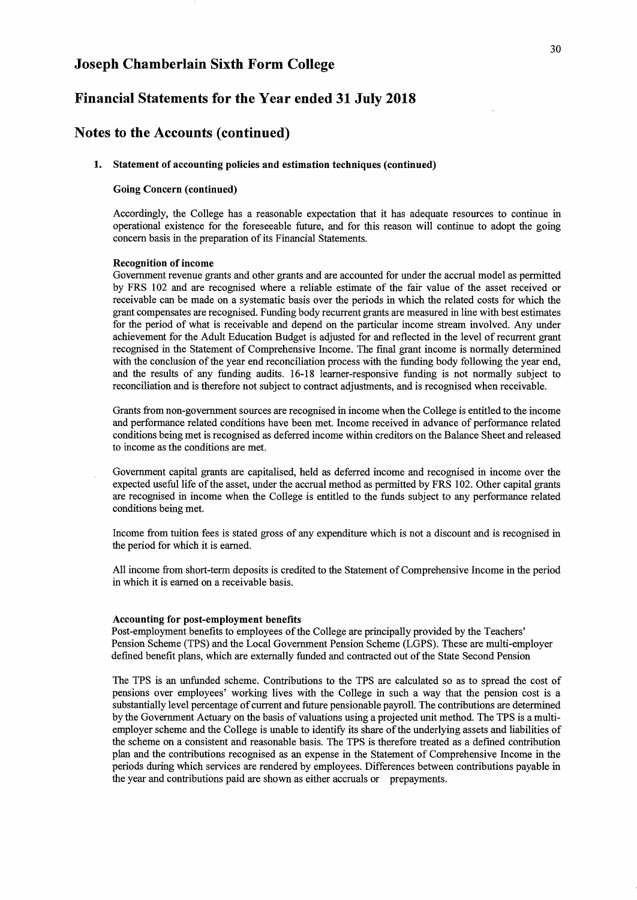### **Financial Statements for the Year ended 31 July 2018**

### **Notes to the Accounts (continued)**

#### **1. Statement of accounting policies and estimation techniques (continued)**

#### **Going Concern (continued)**

Accordingly, the College has a reasonable expectation that it has adequate resources to continue in operational existence for the foreseeable future, and for this reason will continue to adopt the going concern basis in the preparation of its Financial Statements.

#### **Recognition of income**

Government revenue grants and other grants and are accounted for under the accrual model as permitted by FRS 102 and are recognised where a reliable estimate of the fair value of the asset received or receivable can be made on a systematic basis over the periods in which the related costs for which the grant compensates are recognised. Funding body recurrent grants are measured in line with best estimates for the period of what is receivable and depend on the particular income stream involved. Any under achievement for the Adult Education Budget is adjusted for and reflected in the level of recurrent grant recognised in the Statement of Comprehensive Income. The fmal grant income is normally determined with the conclusion of the year end reconciliation process with the funding body following the year end, and the results of any funding audits. 16-18 leamer-responsive funding is not normally subject to reconciliation and is therefore not subject to contract adjustments, and is recognised when receivable.

Grants from non-government sources are recognised in income when the College is entitled to the income and performance related conditions have been met. Income received in advance of performance related conditions being met is recognised as deferred income within creditors on the Balance Sheet and released to income as the conditions are met.

Government capital grants are capitalised, held as deferred income and recognised in income over the expected useful life ofthe asset, under the accrual method as permitted by FRS 102. Other capital grants are recognised in income when the College is entitled to the funds subject to any performance related conditions being met.

Income from tuition fees is stated gross of any expenditure which is not a discount and is recognised in the period for which it is earned.

All income from short-term deposits is credited to the Statement of Comprehensive Income in the period in which it is earned on a receivable basis.

#### **Accounting for post-employment benefits**

Post-employment benefits to employees of the College are principally provided by the Teachers' Pension Scheme (TPS) and the Local Government Pension Scheme (LGPS). These are multi-employer defmed benefit plans, which are externally funded and contracted out of the State Second Pension

The TPS is an unfunded scheme. Contributions to the TPS are calculated so as to spread the cost of pensions over employees' working lives with the College in such a way that the pension cost is a substantially level percentage of current and future pensionable payroll. The contributions are determined by the Government Actuary on the basis of valuations using a projected unit method. The TPS is a multiemployer scheme and the College is unable to identify its share of the underlying assets and liabilities of the scheme on a consistent and reasonable basis. The TPS is therefore treated as a defmed contribution plan and the contributions recognised as an expense in the Statement of Comprehensive Income in the periods during which services are rendered by employees. Differences between contributions payable in the year and contributions paid are shown as either accruals or prepayments.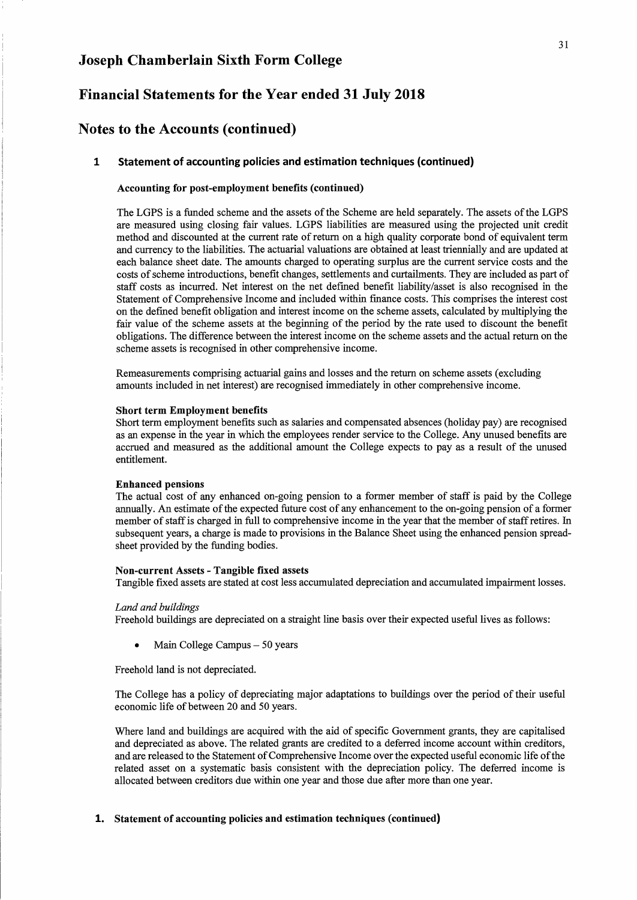### Financial Statements for the Year ended 31 July 2018

### Notes to the Accounts (continued)

#### 1 Statement of accounting policies and estimation techniques (continued)

#### Accounting for post-employment benefits (continued)

The LGPS is a funded scheme and the assets of the Scheme are held separately. The assets of the LGPS are measured using closing fair values. LGPS liabilities are measured using the projected unit credit method and discounted at the current rate of return on a high quality corporate bond of equivalent term and currency to the liabilities. The actuarial valuations are obtained at least triennially and are updated at each balance sheet date. The amounts charged to operating surplus are the current service costs and the costs of scheme introductions, benefit changes, settlements and curtailments. They are included as part of staff costs as incurred. Net interest on the net defmed benefit liability/asset is also recognised in the Statement of Comprehensive Income and included within fmance costs. This comprises the interest cost on the defmed benefit obligation and interest income on the scheme assets, calculated by multiplying the fair value of the scheme assets at the beginning of the period by the rate used to discount the benefit obligations. The difference between the interest income on the scheme assets and the actual return on the scheme assets is recognised in other comprehensive income.

Remeasurements comprising actuarial gains and losses and the return on scheme assets (excluding amounts included in net interest) are recognised immediately in other comprehensive income.

#### Short term Employment benefits

Short term employment benefits such as salaries and compensated absences (holiday pay) are recognised as an expense in the year in which the employees render service to the College. Any unused benefits are accrued and measured as the additional amount the College expects to pay as a result of the unused entitlement.

#### Enhanced pensions

The actual cost of any enhanced on-going pension to a former member of staff is paid by the College annually. An estimate of the expected future cost of any enhancement to the on-going pension of a former member of staff is charged in full to comprehensive income in the year that the member of staff retires. In subsequent years, a charge is made to provisions in the Balance Sheet using the enhanced pension spreadsheet provided by the funding bodies.

#### Non-current Assets - Tangible fixed assets

Tangible fixed assets are stated at cost less accumulated depreciation and accumulated impairment losses.

#### *Land and buildings*

Freehold buildings are depreciated on a straight line basis over their expected useful lives as follows:

Main College Campus  $-50$  years

Freehold land is not depreciated.

The College has a policy of depreciating major adaptations to buildings over the period of their useful economic life of between 20 and 50 years.

Where land and buildings are acquired with the aid of specific Government grants, they are capitalised and depreciated as above. The related grants are credited to a deferred income account within creditors, and are released to the Statement of Comprehensive Income over the expected useful economic life of the related asset on a systematic basis consistent with the depreciation policy. The deferred income is allocated between creditors due within one year and those due after more than one year.

#### 1. Statement of accounting policies and estimation techniques (continued)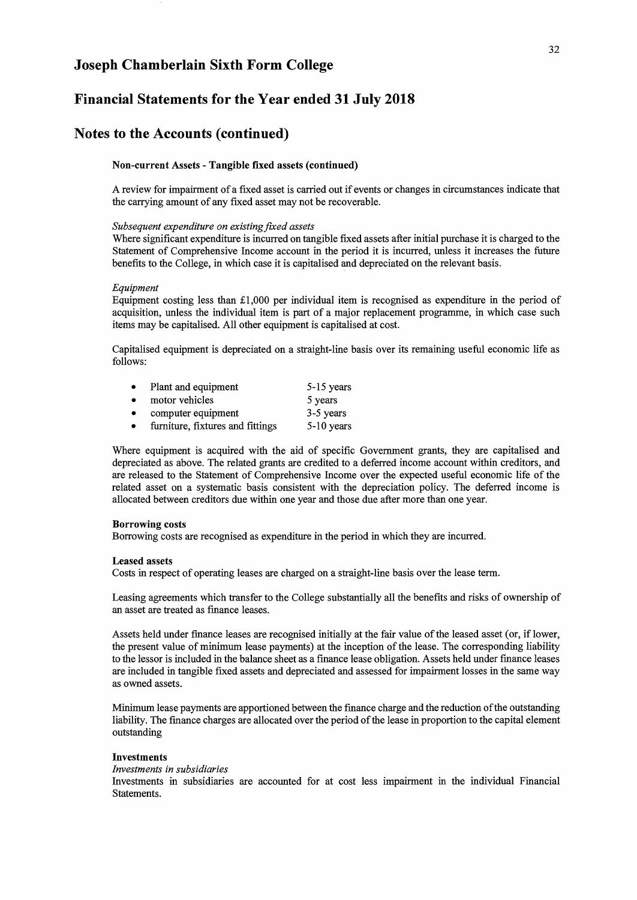### **Financial Statements for the Year ended 31 July 2018**

### **Notes to the Accounts (continued)**

#### Non-current Assets - Tangible fixed assets (continued)

A review for impairment of a fixed asset is carried out if events or changes in circumstances indicate that the carrying amount of any fixed asset may not be recoverable.

#### *Subsequent expenditure on existingfixed assets*

Where significant expenditure is incurred on tangible fixed assets after initial purchase it is charged to the Statement of Comprehensive Income account in the period it is incurred, unless it increases the future benefits to the College, in which case it is capitalised and depreciated on the relevant basis.

#### *Equipment*

Equipment costing less than £1,000 per individual item is recognised as expenditure in the period of acquisition, unless the individual item is part of a major replacement programme, in which case such items may be capitalised. All other equipment is capitalised at cost.

Capitalised equipment is depreciated on a straight-line basis over its remaining useful economic life as follows:

| $\bullet$ | Plant and equipment              | 5-15 years   |
|-----------|----------------------------------|--------------|
|           | motor vehicles                   | 5 years      |
| $\bullet$ | computer equipment               | 3-5 years    |
| $\bullet$ | furniture, fixtures and fittings | $5-10$ years |

Where equipment is acquired with the aid of specific Government grants, they are capitalised and depreciated as above. The related grants are credited to a deferred income account within creditors, and are released to the Statement of Comprehensive Income over the expected useful economic life of the related asset on a systematic basis consistent with the depreciation policy. The deferred income is allocated between creditors due within one year and those due after more than one year.

#### Borrowing costs

Borrowing costs are recognised as expenditure in the period in which they are incurred.

#### Leased assets

Costs in respect of operating leases are charged on a straight-line basis over the lease term.

Leasing agreements which transfer to the College substantially all the benefits and risks of ownership of an asset are treated as fmance leases.

Assets held under fmance leases are recognised initially at the fair value of the leased asset (or, if lower, the present value of minimum lease payments) at the inception of the lease. The corresponding liability to the lessor is included in the balance sheet as a finance lease obligation. Assets held under fmance leases are included in tangible fixed assets and depreciated and assessed for impairment losses in the same way as owned assets.

Minimum lease payments are apportioned between the fmance charge and the reduction of the outstanding liability. The fmanee charges are allocated over the period of the lease in proportion to the capital element outstanding

#### Investments

#### *Investments in subsidiaries*

Investments in subsidiaries are accounted for at cost less impairment in the individual Financial Statements.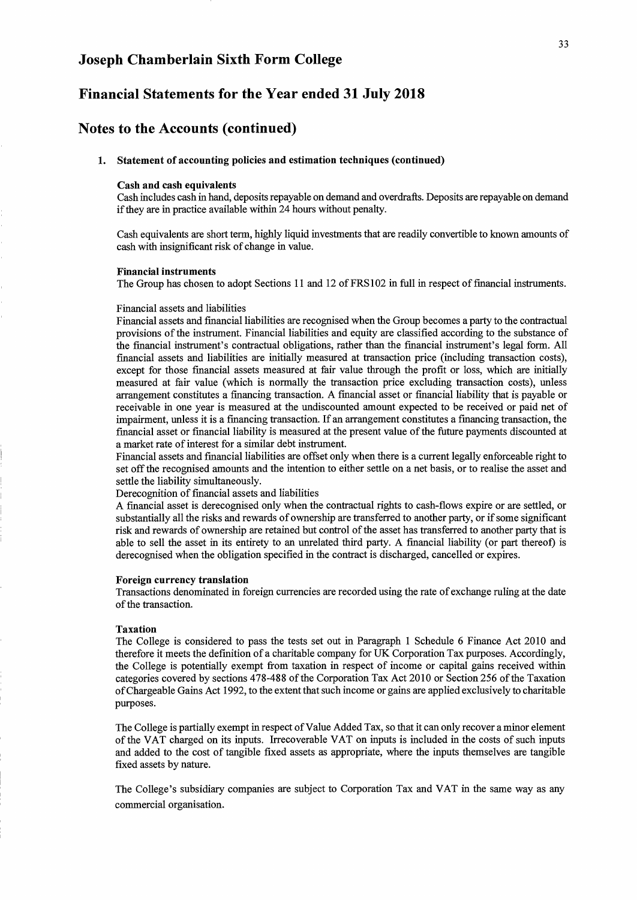### Financial Statements for the Year ended 31 July 2018

### Notes to the Accounts (continued)

#### 1. Statement of accounting policies and estimation techniques (continued)

#### Cash and cash equivalents

Cash includes cash in hand, deposits repayable on demand and overdrafts. Deposits are repayable on demand if they are in practice available within 24 hours without penalty.

Cash equivalents are short term, highly liquid investments that are readily convertible to known amounts of cash with insignificant risk of change in value.

#### Financial instruments

The Group has chosen to adopt Sections 11 and 12 of FRS102 in full in respect of financial instruments.

#### Financial assets and liabilities

Financial assets and [mancialliabilities are recognised when the Group becomes a party to the contractual provisions of the instrument. Financial liabilities and equity are classified according to the substance of the financial instrument's contractual obligations, rather than the financial instrument's legal form. All financial assets and liabilities are initially measured at transaction price (including transaction costs), except for those financial assets measured at fair value through the profit or loss, which are initially measured at fair value (which is normally the transaction price excluding transaction costs), unless arrangement constitutes a financing transaction. A financial asset or financial liability that is payable or receivable in one year is measured at the undiscounted amount expected to be received or paid net of impairment, unless it is a financing transaction. If an arrangement constitutes a financing transaction, the financial asset or [mancialliability is measured at the present value of the future payments discounted at a market rate of interest for a similar debt instrument.

Financial assets and financial liabilities are offset only when there is a current legally enforceable right to set off the recognised amounts and the intention to either settle on a net basis, or to realise the asset and settle the liability simultaneously.

#### Derecognition of financial assets and liabilities

A financial asset is derecognised only when the contractual rights to cash-flows expire or are settled, or substantially all the risks and rewards of ownership are transferred to another party, or if some significant risk and rewards of ownership are retained but control of the asset has transferred to another party that is able to sell the asset in its entirety to an unrelated third party. A financial liability (or part thereof) is derecognised when the obligation specified in the contract is discharged, cancelled or expires.

#### Foreign currency translation

Transactions denominated in foreign currencies are recorded using the rate of exchange ruling at the date of the transaction.

#### Taxation

The College is considered to pass the tests set out in Paragraph 1 Schedule 6 Finance Act 2010 and therefore it meets the definition of a charitable company for UK Corporation Tax purposes. Accordingly, the College is potentially exempt from taxation in respect of income or capital gains received within categories covered by sections 478-488 of the Corporation Tax Act 2010 or Section 256 of the Taxation of Chargeable Gains Act 1992, to the extent that such income or gains are applied exclusively to charitable purposes.

The College is partially exempt in respect of Value Added Tax, so that it can only recover a minor element of the VAT charged on its inputs. Irrecoverable VAT on inputs is included in the costs of such inputs and added to the cost of tangible fixed assets as appropriate, where the inputs themselves are tangible fixed assets by nature.

The College's subsidiary companies are subject to Corporation Tax and VAT in the same way as any commercial organisation.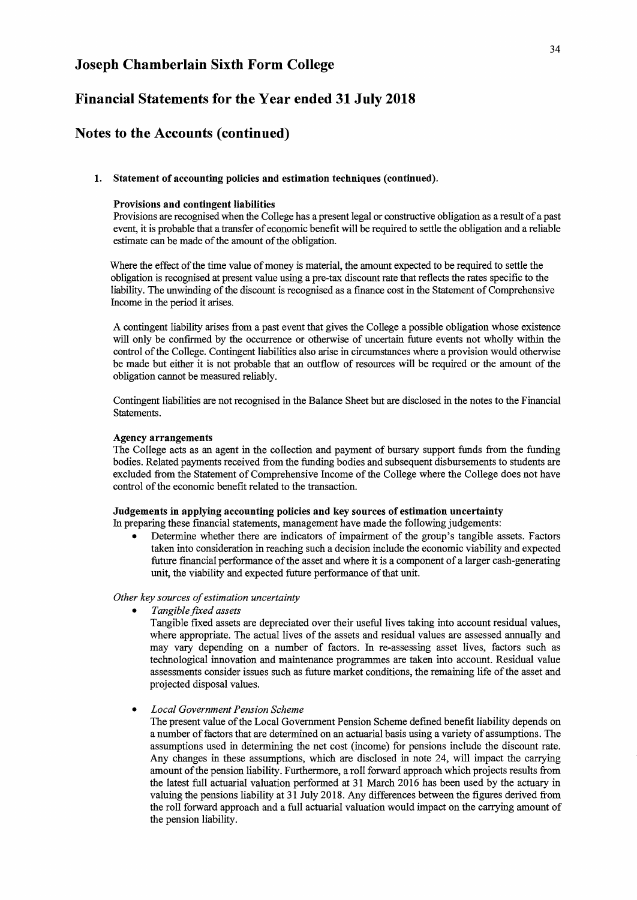### Financial Statements for the Year ended 31 July 2018

### Notes to the Accounts (continued)

#### 1. Statement of accounting policies and estimation techniques (continued).

#### Provisions and contingent liabilities

Provisions are recognised when the College has a present legal or constructive obligation as a result of a past event, it is probable that a transfer of economic benefit will be required to settle the obligation and a reliable estimate can be made of the amount of the obligation.

Where the effect of the time value of money is material, the amount expected to be required to settle the obligation is recognised at present value using a pre-tax discount rate that reflects the rates specific to the liability. The unwinding of the discount is recognised as a finance cost in the Statement of Comprehensive Income in the period it arises.

A contingent liability arises from a past event that gives the College a possible obligation whose existence will only be confirmed by the occurrence or otherwise of uncertain future events not wholly within the control of the College. Contingent liabilities also arise in circumstances where a provision would otherwise be made but either it is not probable that an outflow of resources will be required or the amount of the obligation cannot be measured reliably.

Contingent liabilities are not recognised in the Balance Sheet but are disclosed in the notes to the Financial Statements.

#### Agency arrangements

The College acts as an agent in the collection and payment of bursary support funds from the funding bodies. Related payments received from the funding bodies and subsequent disbursements to students are excluded from the Statement of Comprehensive Income of the College where the College does not have control of the economic benefit related to the transaction.

### Judgements in applying accounting policies and key sources of estimation uncertainty

In preparing these financial statements, management have made the following judgements:

• Determine whether there are indicators of impairment of the group's tangible assets. Factors taken into consideration in reaching such a decision include the economic viability and expected future financial performance of the asset and where it is a component of a larger cash-generating unit, the viability and expected future performance of that unit.

#### *Other key sources of estimation uncertainty*

*• Tangible fixed assets* 

Tangible fixed assets are depreciated over their useful lives taking into account residual values, where appropriate. The actual lives of the assets and residual values are assessed annually and may vary depending on a number of factors. In re-assessing asset lives, factors such as technological innovation and maintenance programmes are taken into account. Residual value assessments consider issues such as future market conditions, the remaining life of the asset and projected disposal values.

#### *• Local Government Pension Scheme*

The present value of the Local Government Pension Scheme defmed benefit liability depends on a number of factors that are determined on an actuarial basis using a variety of assumptions. The assumptions used in determining the net cost (income) for pensions include the discount rate. Any changes in these assumptions, which are disclosed in note 24, will impact the carrying amount of the pension liability. Furthermore, a roll forward approach which projects results from the latest full actuarial valuation performed at 31 March 2016 has been used by the actuary in valuing the pensions liability at 31 July 2018. Any differences between the figures derived from the roll forward approach and a full actuarial valuation would impact on the carrying amount of the pension liability.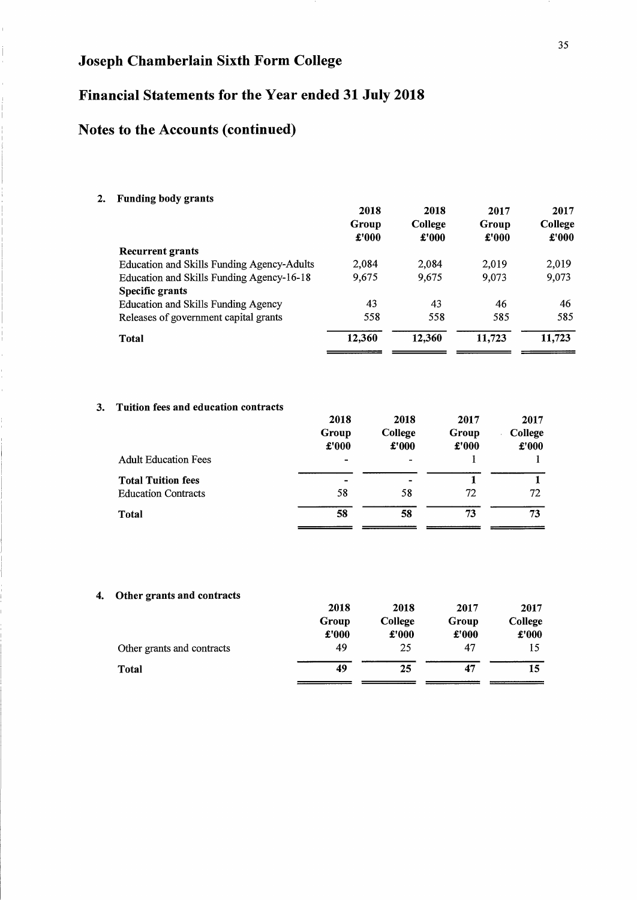# Financial Statements for the Year ended 31 July 2018

# Notes to the Accounts (continued)

### 2. Funding body grants

|                                            | 2018<br>Group<br>£'000 | 2018<br>College<br>£'000 | 2017<br>Group<br>£'000 | 2017<br>College<br>£'000 |
|--------------------------------------------|------------------------|--------------------------|------------------------|--------------------------|
| Recurrent grants                           |                        |                          |                        |                          |
| Education and Skills Funding Agency-Adults | 2.084                  | 2.084                    | 2.019                  | 2,019                    |
| Education and Skills Funding Agency-16-18  | 9,675                  | 9.675                    | 9.073                  | 9,073                    |
| Specific grants                            |                        |                          |                        |                          |
| Education and Skills Funding Agency        | 43                     | 43                       | 46                     | 46                       |
| Releases of government capital grants      | 558                    | 558                      | 585                    | 585                      |
| Total                                      | 12,360                 | 12,360                   | 11,723                 | 11,723                   |

### 3. Tuition fees and education contracts

|                             | 2018                     | 2018           | 2017  | 2017    |
|-----------------------------|--------------------------|----------------|-------|---------|
|                             | Group                    | College        | Group | College |
|                             | £'000                    | $\pounds 000$  | £'000 | £'000   |
| <b>Adult Education Fees</b> | $\overline{\phantom{0}}$ | $\blacksquare$ |       |         |
| <b>Total Tuition fees</b>   |                          | -              |       |         |
| <b>Education Contracts</b>  | 58                       | 58             | 72    | 72      |
| Total                       | 58                       | 58             | 73    | 73      |

### 4. Other grants and contracts

|                            | 2018  | 2018    | 2017  | 2017    |
|----------------------------|-------|---------|-------|---------|
|                            | Group | College | Group | College |
|                            | £'000 | £'000   | £'000 | £'000   |
| Other grants and contracts | 49    | 25      | 47    | 15      |
| Total                      | 49    | 25      | 47    | 15      |
|                            |       |         |       |         |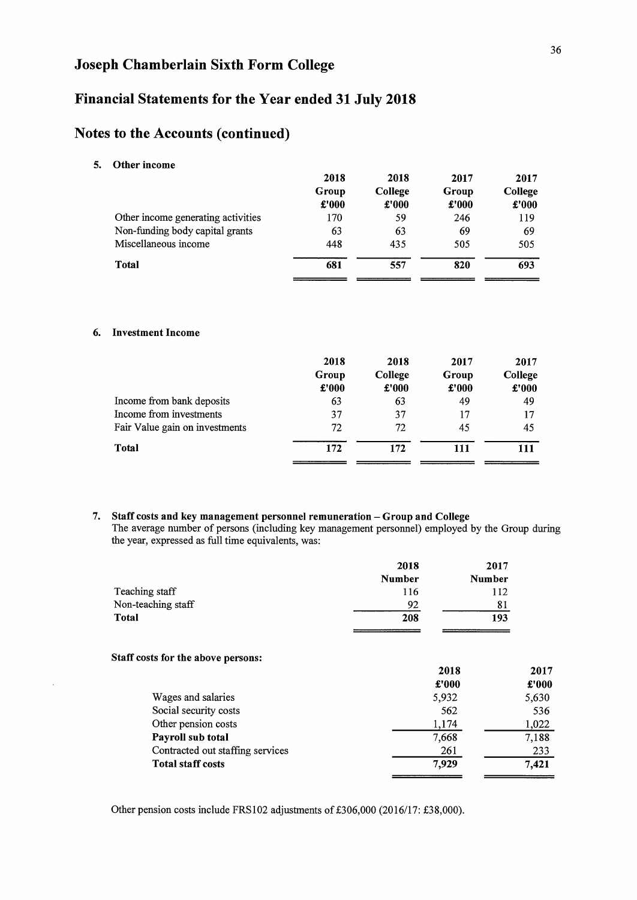## Financial Statements for the Year ended 31 July 2018

### Notes to the Accounts (continued)

5. Other income

|                                    | 2018<br>Group<br>£'000 | 2018<br>College<br>$\pounds 000$ | 2017<br>Group<br>£'000 | 2017<br>College<br>£'000 |
|------------------------------------|------------------------|----------------------------------|------------------------|--------------------------|
| Other income generating activities | 170                    | 59                               | 246                    | 119                      |
| Non-funding body capital grants    | 63                     | 63                               | 69                     | 69                       |
| Miscellaneous income               | 448                    | 435                              | 505                    | 505                      |
| Total                              | 681                    | 557                              | 820                    | 693                      |
|                                    |                        |                                  |                        |                          |

#### 6. Investment Income

|                                | 2018  | 2018    | 2017  | 2017    |
|--------------------------------|-------|---------|-------|---------|
|                                | Group | College | Group | College |
|                                | £'000 | £'000   | £'000 | £'000   |
| Income from bank deposits      | 63    | 63      | 49    | 49      |
| Income from investments        | 37    | 37      | 17    | 17      |
| Fair Value gain on investments | 72    | 72      | 45    | 45      |
| Total                          | 172   | 172     | 111   | 111     |
|                                |       |         |       |         |

7. Staff costs and key management personnel remuneration - Group and College The average number of persons (including key management personnel) employed by the Group during the year, expressed as full time equivalents, was:

|                    | 2018          | 2017          |
|--------------------|---------------|---------------|
|                    | <b>Number</b> | <b>Number</b> |
| Teaching staff     | 116           | 112           |
| Non-teaching staff | 92            | 81            |
| Total              | 208           | 193           |
|                    |               |               |

#### Staff costs for the above persons:

|                                  | 2018  | 2017  |
|----------------------------------|-------|-------|
|                                  | £'000 | £'000 |
| Wages and salaries               | 5,932 | 5,630 |
| Social security costs            | 562   | 536   |
| Other pension costs              | 1,174 | 1,022 |
| Payroll sub total                | 7,668 | 7,188 |
| Contracted out staffing services | 261   | 233   |
| <b>Total staff costs</b>         | 7.929 | 7.421 |
|                                  |       |       |

Other pension costs include FRSI02 adjustments of £306,000 (2016/17: £38,000).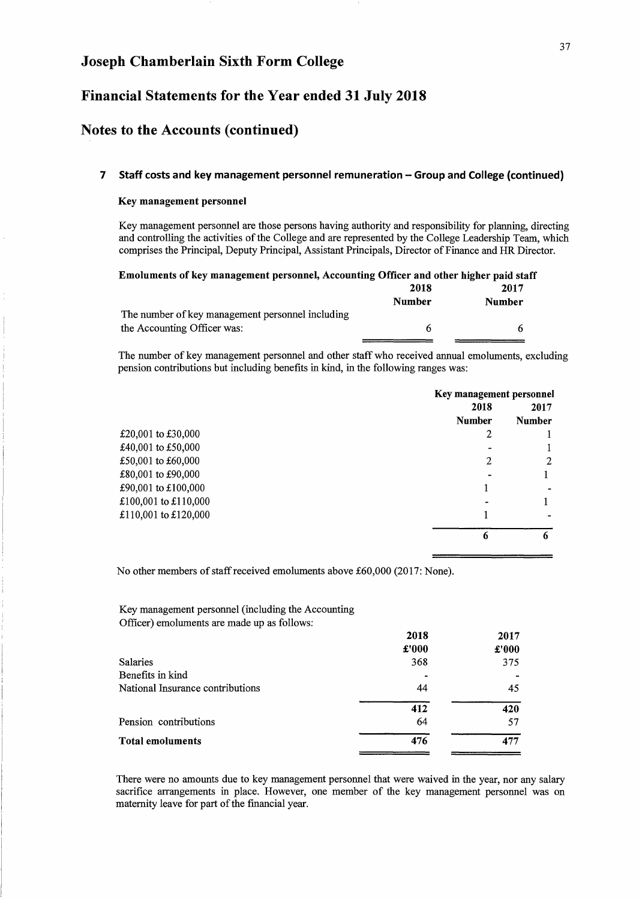### Financial Statements for the Year ended 31 July 2018

### Notes to the Accounts (continued)

#### 7 Staff costs and key management personnel remuneration - Group and College (continued)

#### Key management personnel

Key management personnel are those persons having authority and responsibility for planning, directing and controlling the activities of the College and are represented by the College Leadership Team, which comprises the Principal, Deputy Principal, Assistant Principals, Director of Finance and HR Director.

| Emoluments of key management personnel, Accounting Officer and other higher paid staff |        |        |
|----------------------------------------------------------------------------------------|--------|--------|
|                                                                                        | 2018   | 2017   |
|                                                                                        | Number | Number |
| The number of key management personnel including                                       |        |        |
| the Accounting Officer was:                                                            | 6      |        |

The number of key management personnel and other staff who received annual emoluments, excluding pension contributions but including benefits in kind, in the following ranges was:

|                      | Key management personnel |               |  |
|----------------------|--------------------------|---------------|--|
|                      | 2018                     | 2017          |  |
|                      | <b>Number</b>            | <b>Number</b> |  |
| £20,001 to £30,000   |                          |               |  |
| £40,001 to £50,000   |                          |               |  |
| £50,001 to £60,000   | 2                        | റ             |  |
| £80,001 to £90,000   |                          |               |  |
| £90,001 to £100,000  |                          |               |  |
| £100,001 to £110,000 |                          |               |  |
| £110,001 to £120,000 |                          |               |  |
|                      | 6                        | 6             |  |
|                      |                          |               |  |

No other members of staff received emoluments above £60,000 (2017: None).

Key management personnel (including the Accounting Officer) emoluments are made up as follows:

|                                  | 2018<br>£'000  | 2017<br>£'000 |
|----------------------------------|----------------|---------------|
| <b>Salaries</b>                  | 368            | 375           |
| Benefits in kind                 | $\blacksquare$ |               |
| National Insurance contributions | 44             | 45            |
|                                  | 412            | 420           |
| Pension contributions            | 64             | 57            |
| <b>Total emoluments</b>          | 476            | 477           |

There were no amounts due to key management personnel that were waived in the year, nor any salary sacrifice arrangements in place. However, one member of the key management personnel was on maternity leave for part of the financial year.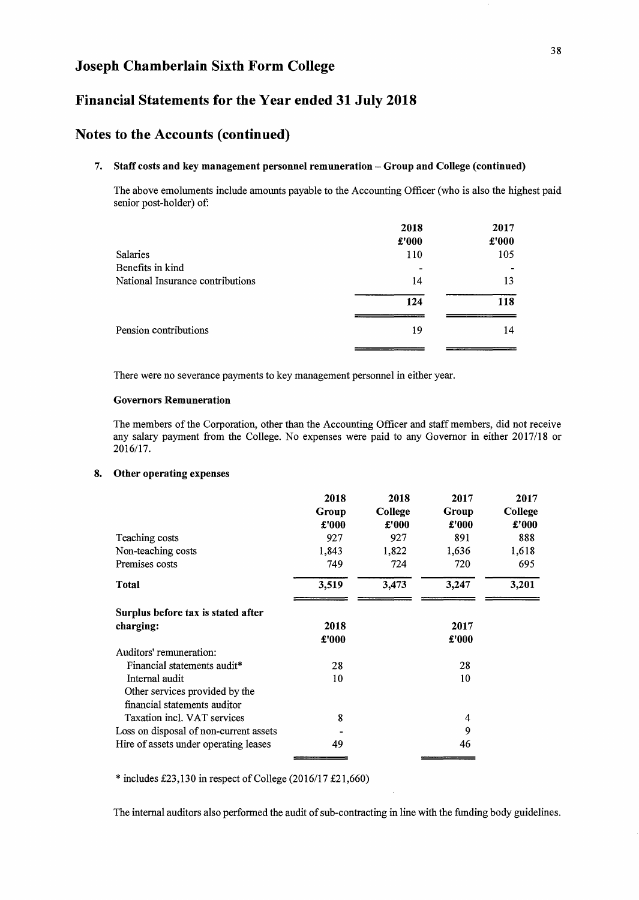### Financial Statements for the Year ended 31 July 2018

### Notes to the Accounts (continued)

#### 7. Staff costs and key management personnel remuneration - Group and College (continued)

The above emoluments include amounts payable to the Accounting Officer (who is also the highest paid senior post-holder) of:

|                                  | 2018  | 2017  |
|----------------------------------|-------|-------|
|                                  | £'000 | £'000 |
| Salaries                         | 110   | 105   |
| Benefits in kind                 |       |       |
| National Insurance contributions | 14    | 13    |
|                                  | 124   | 118   |
| Pension contributions            | 19    | 14    |
|                                  |       |       |

There were no severance payments to key management personnel in either year.

#### Governors Remuneration

The members of the Corporation, other than the Accounting Officer and staff members, did not receive any salary payment from the College. No expenses were paid to any Governor in either 2017/18 or 2016/17.

#### 8. Other operating expenses

|                                        | 2018  | 2018    | 2017  | 2017    |
|----------------------------------------|-------|---------|-------|---------|
|                                        | Group | College | Group | College |
|                                        | £'000 | £'000   | £'000 | £'000   |
| Teaching costs                         | 927   | 927     | 891   | 888     |
| Non-teaching costs                     | 1,843 | 1,822   | 1,636 | 1,618   |
| Premises costs                         | 749   | 724     | 720   | 695     |
| Total                                  | 3,519 | 3,473   | 3,247 | 3,201   |
| Surplus before tax is stated after     |       |         |       |         |
| charging:                              | 2018  |         | 2017  |         |
|                                        | £'000 |         | £'000 |         |
| Auditors' remuneration:                |       |         |       |         |
| Financial statements audit*            | 28    |         | 28    |         |
| Internal audit                         | 10    |         | 10    |         |
| Other services provided by the         |       |         |       |         |
| financial statements auditor           |       |         |       |         |
| Taxation incl. VAT services            | 8     |         | 4     |         |
| Loss on disposal of non-current assets |       |         | 9     |         |
| Hire of assets under operating leases  | 49    |         | 46    |         |

\* includes £23,130 in respect of College (2016/17 £21,660)

The internal auditors also performed the audit of sub-contracting in line with the funding body guidelines.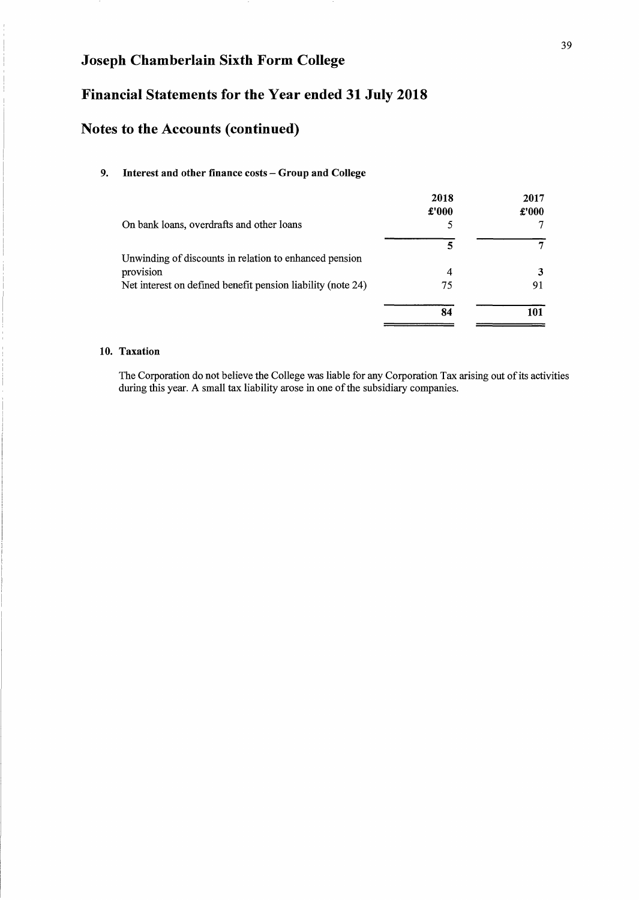## **Financial Statements for the Year ended 31 July 2018**

## **Notes to the Accounts (continued)**

### **9. Interest and other finance costs - Group and College**

|                                                             | 2018  | 2017  |
|-------------------------------------------------------------|-------|-------|
|                                                             | £'000 | £'000 |
| On bank loans, overdrafts and other loans                   |       |       |
|                                                             | 5     | 7     |
| Unwinding of discounts in relation to enhanced pension      |       |       |
| provision                                                   | 4     |       |
| Net interest on defined benefit pension liability (note 24) | 75    | 91    |
|                                                             | 84    | 101   |

### **lO. Taxation**

The Corporation do not believe the College was liable for any Corporation Tax arising out of its activities during this year. A small tax liability arose in one of the subsidiary companies.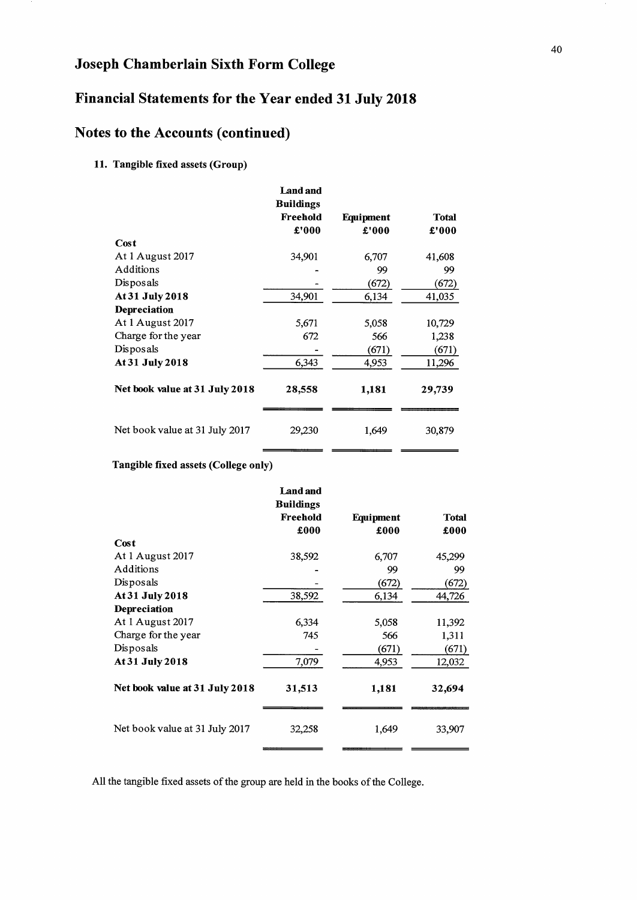## Financial Statements for the Year ended 31 July 2018

## Notes to the Accounts (continued)

### 11. Tangible fixed assets (Group)

|                                | <b>Land and</b><br><b>Buildings</b> |           |              |
|--------------------------------|-------------------------------------|-----------|--------------|
|                                | Freehold                            | Equipment | <b>Total</b> |
|                                | £'000                               | £'000     | £'000        |
| Cost                           |                                     |           |              |
| At 1 August 2017               | 34,901                              | 6,707     | 41,608       |
| Additions                      |                                     | 99        | 99           |
| Disposals                      |                                     | (672)     | (672)        |
| At 31 July 2018                | 34,901                              | 6,134     | 41,035       |
| Depreciation                   |                                     |           |              |
| At 1 August 2017               | 5,671                               | 5,058     | 10,729       |
| Charge for the year            | 672                                 | 566       | 1,238        |
| Disposals                      |                                     | (671)     | (671)        |
| At 31 July 2018                | 6,343                               | 4,953     | 11,296       |
| Net book value at 31 July 2018 | 28,558                              | 1,181     | 29,739       |
| Net book value at 31 July 2017 | 29,230                              | 1,649     | 30,879       |

### Tangible fixed assets (College only)

|                                | <b>Land and</b><br><b>Buildings</b> |           |              |
|--------------------------------|-------------------------------------|-----------|--------------|
|                                | Freehold                            | Equipment | <b>Total</b> |
|                                | £000                                | £000      | £000         |
| Cost                           |                                     |           |              |
| At 1 August 2017               | 38,592                              | 6,707     | 45,299       |
| Additions                      |                                     | 99        | 99           |
| Disposals                      |                                     | (672)     | (672)        |
| At 31 July 2018                | 38,592                              | 6,134     | 44,726       |
| Depreciation                   |                                     |           |              |
| At 1 August 2017               | 6,334                               | 5,058     | 11,392       |
| Charge for the year            | 745                                 | 566       | 1,311        |
| Disposals                      |                                     | (671)     | (671)        |
| At 31 July 2018                | 7,079                               | 4,953     | 12,032       |
| Net book value at 31 July 2018 | 31,513                              | 1,181     | 32,694       |
| Net book value at 31 July 2017 | 32,258                              | 1,649     | 33,907       |

All the tangible fixed assets of the group are held in the books of the College.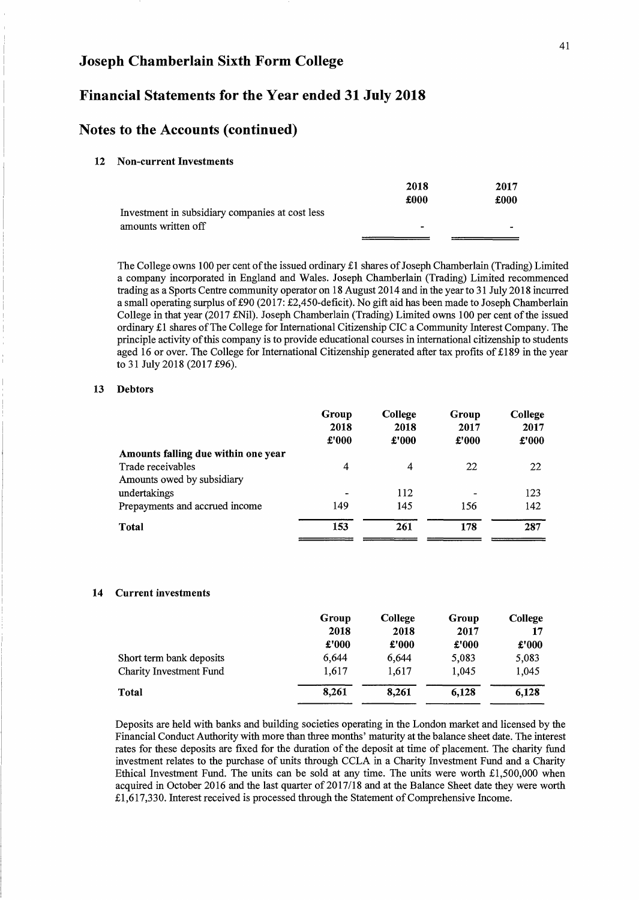### **Financial Statements for the Year ended 31 July 2018**

### **Notes to the Accounts (continued)**

#### **12 Non-current Investments**

|                                                 | 2018 | 2017 |
|-------------------------------------------------|------|------|
|                                                 | £000 | £000 |
| Investment in subsidiary companies at cost less |      |      |
| amounts written off                             |      | -    |
|                                                 |      |      |

The College owns 100 per cent of the issued ordinary £1 shares of Joseph Chamberlain (Trading) Limited a company incorporated in England and Wales. Joseph Chamberlain (Trading) Limited recommenced trading as a Sports Centre community operator on 18 August 2014 and in the year to 31 July 2018 incurred a small operating surplus of £90 (2017: £2,450-deficit). No gift aid has been made to Joseph Chamberlain College in that year (2017 £Nil). Joseph Chamberlain (Trading) Limited owns 100 per cent of the issued ordinary £1 shares of The College for International Citizenship CIC a Community Interest Company. The principle activity of this company is to provide educational courses in international citizenship to students aged 16 or over. The College for International Citizenship generated after tax profits of £189 in the year to 31 July 2018 (2017 £96).

#### **13 Debtors**

| Group          | College | Group                    | College<br>2017 |
|----------------|---------|--------------------------|-----------------|
| £'000          | £'000   | £'000                    | £'000           |
|                |         |                          |                 |
| $\overline{4}$ | 4       | 22                       | 22              |
|                |         |                          |                 |
|                | 112     | $\overline{\phantom{0}}$ | 123             |
| 149            | 145     | 156                      | 142             |
| 153            | 261     | 178                      | 287             |
|                | 2018    | 2018                     | 2017            |

#### **14 Current investments**

|                          | Group | College | Group | College |
|--------------------------|-------|---------|-------|---------|
|                          | 2018  | 2018    | 2017  | 17      |
|                          | £'000 | £'000   | £'000 | £'000   |
| Short term bank deposits | 6,644 | 6.644   | 5.083 | 5,083   |
| Charity Investment Fund  | 1,617 | 1,617   | 1.045 | 1,045   |
| Total                    | 8,261 | 8.261   | 6,128 | 6,128   |

Deposits are held with banks and building societies operating in the London market and licensed by the Financial Conduct Authority with more than three months' maturity at the balance sheet date. The interest rates for these deposits are fixed for the duration of the deposit at time of placement. The charity fund investment relates to the purchase of units through CCLA in a Charity Investment Fund and a Charity Ethical Investment Fund. The units can be sold at any time. The units were worth £1,500,000 when acquired in October 2016 and the last quarter of 2017/18 and at the Balance Sheet date they were worth £1,617,330. Interest received is processed through the Statement of Comprehensive Income.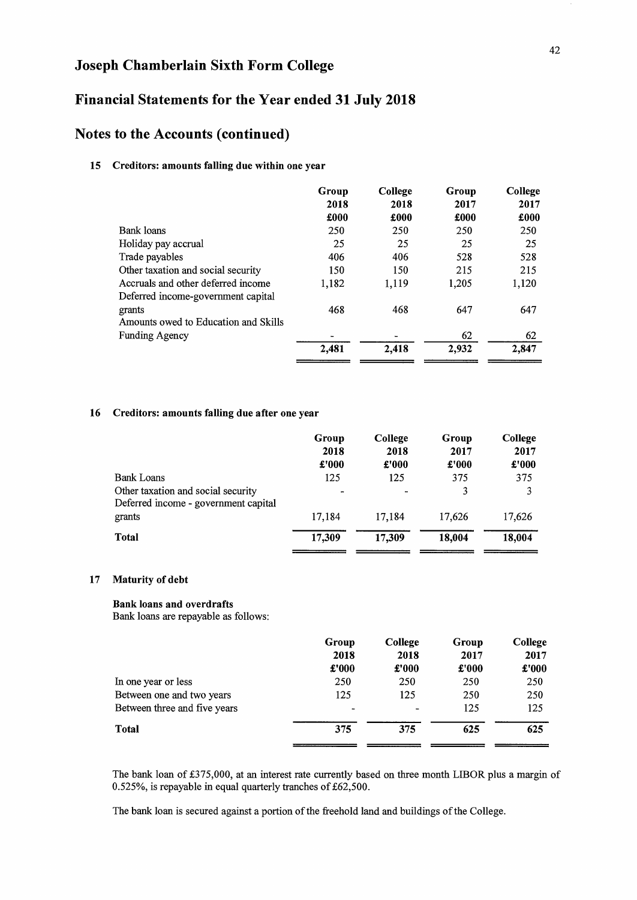## **Financial Statements for the Year ended 31 July 2018**

### **Notes to the Accounts (continued)**

### 15 Creditors: amounts falling due within one year

|                                      | Group | College | Group | College |
|--------------------------------------|-------|---------|-------|---------|
|                                      | 2018  | 2018    | 2017  | 2017    |
|                                      | £000  | £000    | £000  | £000    |
| Bank loans                           | 250   | 250     | 250   | 250     |
| Holiday pay accrual                  | 25    | 25      | 25    | 25      |
| Trade payables                       | 406   | 406     | 528   | 528     |
| Other taxation and social security   | 150   | 150     | 215   | 215     |
| Accruals and other deferred income   | 1,182 | 1,119   | 1,205 | 1,120   |
| Deferred income-government capital   |       |         |       |         |
| grants                               | 468   | 468     | 647   | 647     |
| Amounts owed to Education and Skills |       |         |       |         |
| <b>Funding Agency</b>                |       |         | 62    | 62      |
|                                      | 2,481 | 2,418   | 2,932 | 2,847   |

#### 16 Creditors: amounts falling due after one year

|                                                                            | Group<br>2018<br>£'000 | College<br>2018<br>£'000 | Group<br>2017<br>£'000 | College<br>2017<br>£'000 |
|----------------------------------------------------------------------------|------------------------|--------------------------|------------------------|--------------------------|
| <b>Bank Loans</b>                                                          | 125                    | 125                      | 375                    | 375                      |
| Other taxation and social security<br>Deferred income - government capital |                        |                          | 3                      | 3                        |
| grants                                                                     | 17.184                 | 17,184                   | 17.626                 | 17,626                   |
| Total                                                                      | 17,309                 | 17,309                   | 18,004                 | 18,004                   |

### 17 Maturity of debt

#### Bank loans and overdrafts

Bank loans are repayable as follows:

|                              | Group          | College | Group | College |
|------------------------------|----------------|---------|-------|---------|
|                              | 2018           | 2018    | 2017  | 2017    |
|                              | £'000          | £'000   | £'000 | £'000   |
| In one year or less          | 250            | 250     | 250   | 250     |
| Between one and two years    | 125            | 125     | 250   | 250     |
| Between three and five years | $\blacksquare$ |         | 125   | 125     |
| <b>Total</b>                 | 375            | 375     | 625   | 625     |
|                              |                |         |       |         |

The bank loan of £375,000, at an interest rate currently based on three month LIBOR plus a margin of 0.525%, is repayable in equal quarterly tranches of £62,500.

The bank loan is secured against a portion of the freehold land and buildings of the College.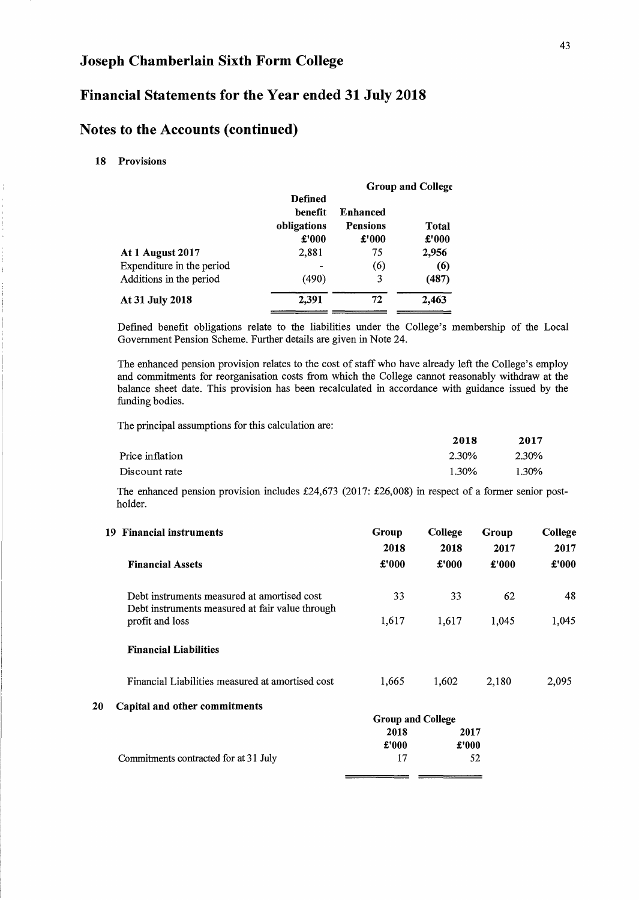## **Financial Statements for the Year ended 31 July 2018**

## **Notes to the Accounts (continued)**

18 Provisions

|                           |                           |                          | <b>Group and College</b> |
|---------------------------|---------------------------|--------------------------|--------------------------|
|                           | <b>Defined</b><br>henefit | <b>Enhanced</b>          |                          |
|                           | obligations<br>£'000      | <b>Pensions</b><br>£'000 | Total<br>£'000           |
| At 1 August 2017          | 2,881                     | 75                       | 2,956                    |
| Expenditure in the period |                           | (6)                      | (6)                      |
| Additions in the period   | (490)                     | 3                        | (487)                    |
| At 31 July 2018           | 2,391                     | 72                       | 2.463                    |

Defined benefit obligations relate to the liabilities under the College's membership of the Local Government Pension Scheme. Further details are given in Note 24.

The enhanced pension provision relates to the cost of staff who have already left the College's employ and commitments for reorganisation costs from which the College cannot reasonably withdraw at the balance sheet date. This provision has been recalculated in accordance with guidance issued by the funding bodies.

The principal assumptions for this calculation are:

|                 | 2018  | 2017  |
|-----------------|-------|-------|
| Price inflation | 2.30% | 2.30% |
| Discount rate   | 1.30% | 1.30% |

The enhanced pension provision includes £24,673 (2017: £26,008) in respect of a former senior postholder.

| 19 | <b>Financial instruments</b>                                                                   | Group<br>2018            | College<br>2018 | Group<br>2017 | College<br>2017 |
|----|------------------------------------------------------------------------------------------------|--------------------------|-----------------|---------------|-----------------|
|    | <b>Financial Assets</b>                                                                        | £'000                    | £'000           | £'000         | £'000           |
|    | Debt instruments measured at amortised cost<br>Debt instruments measured at fair value through | 33                       | 33              | 62            | 48              |
|    | profit and loss                                                                                | 1,617                    | 1,617           | 1,045         | 1,045           |
|    | <b>Financial Liabilities</b>                                                                   |                          |                 |               |                 |
|    | Financial Liabilities measured at amortised cost                                               | 1,665                    | 1,602           | 2,180         | 2,095           |
| 20 | Capital and other commitments                                                                  |                          |                 |               |                 |
|    |                                                                                                | <b>Group and College</b> |                 |               |                 |
|    |                                                                                                | 2018                     | 2017            |               |                 |
|    |                                                                                                | £'000                    | £'000           |               |                 |
|    | Commitments contracted for at 31 July                                                          | 17                       |                 | 52            |                 |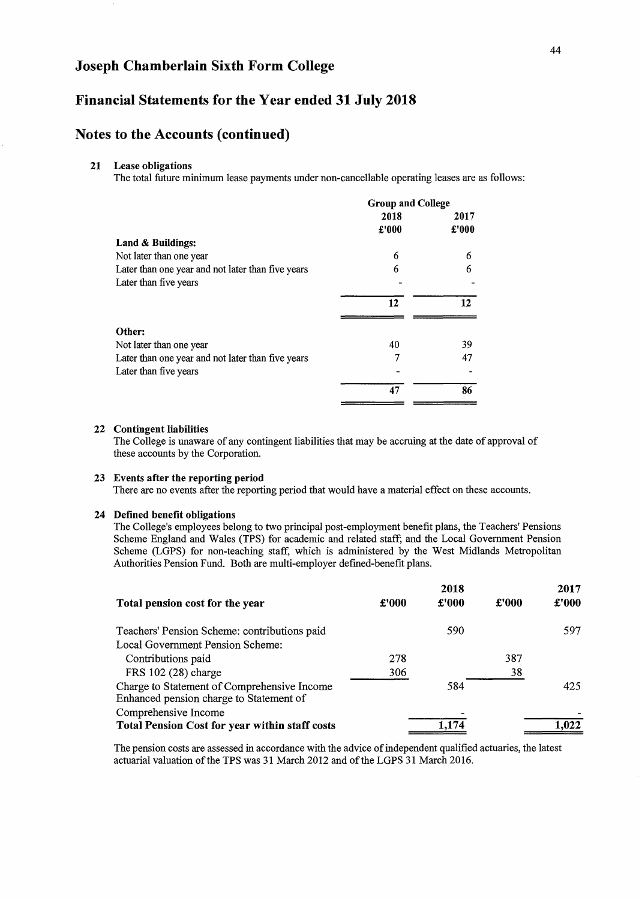### **Financial Statements for the Year ended 31 July 2018**

### **Notes to the Accounts (continued)**

#### **21 Lease obligations**

The total future minimum lease payments under non-cancellable operating leases are as follows:

|                                                   | <b>Group and College</b> |       |  |
|---------------------------------------------------|--------------------------|-------|--|
|                                                   | 2018                     | 2017  |  |
|                                                   | £'000                    | £'000 |  |
| Land & Buildings:                                 |                          |       |  |
| Not later than one year                           | 6                        | 6     |  |
| Later than one year and not later than five years | 6                        | 6     |  |
| Later than five years                             |                          |       |  |
|                                                   | 12                       | 12    |  |
|                                                   |                          |       |  |
| Other:                                            |                          |       |  |
| Not later than one year                           | 40                       | 39    |  |
| Later than one year and not later than five years | 7                        | 47    |  |
| Later than five years                             |                          |       |  |
|                                                   | 47                       | 86    |  |

#### **22 Contingent liabilities**

The College is unaware of any contingent liabilities that may be accruing at the date of approval of these accounts by the Corporation.

#### **23 Events after the reporting period**

There are no events after the reporting period that would have a material effect on these accounts.

#### **24 Defined benefit obligations**

The College's employees belong to two principal post-employment benefit plans, the Teachers' Pensions Scheme England and Wales (TPS) for academic and related staff; and the Local Government Pension Scheme (LGPS) for non-teaching staff, which is administered by the West Midlands Metropolitan Authorities Pension Fund. Both are multi-employer defmed-benefit plans.

|                                                                                        |       | 2018  |       | 2017  |
|----------------------------------------------------------------------------------------|-------|-------|-------|-------|
| Total pension cost for the year                                                        | £'000 | £'000 | £'000 | £'000 |
| Teachers' Pension Scheme: contributions paid                                           |       | 590   |       | 597   |
| Local Government Pension Scheme:                                                       |       |       |       |       |
| Contributions paid                                                                     | 278   |       | 387   |       |
| FRS 102 (28) charge                                                                    | 306   |       | 38    |       |
| Charge to Statement of Comprehensive Income<br>Enhanced pension charge to Statement of |       | 584   |       | 425   |
| Comprehensive Income<br><b>Total Pension Cost for year within staff costs</b>          |       |       |       | 1.022 |

The pension costs are assessed in accordance with the advice of independent qualified actuaries, the latest actuarial valuation of the TPS was 31 March 2012 and of the LGPS 31 March 2016.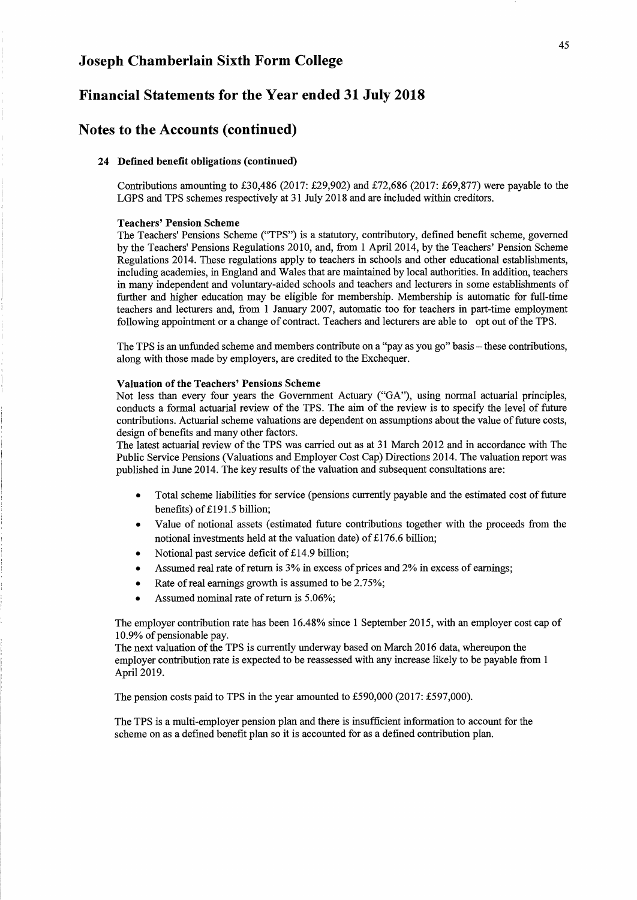### **Financial Statements for the Year ended 31 July 2018**

### **Notes to the Accounts (continued)**

### 24 Defined benefit obligations (continued)

Contributions amounting to £30,486 (2017: £29,902) and £72,686 (2017: £69,877) were payable to the LGPS and TPS schemes respectively at 31 July 2018 and are included within creditors.

#### Teachers' Pension Scheme

The Teachers' Pensions Scheme ("TPS") is a statutory, contributory, defmed benefit scheme, governed by the Teachers' Pensions Regulations 2010, and, from 1 Apri12014, by the Teachers' Pension Scheme Regulations 2014. These regulations apply to teachers in schools and other educational establishments, including academies, in England and Wales that are maintained by local authorities. In addition, teachers in many independent and voluntary-aided schools and teachers and lecturers in some establishments of further and higher education may be eligible for membership. Membership is automatic for full-time teachers and lecturers and, from 1 January 2007, automatic too for teachers in part-time employment following appointment or a change of contract. Teachers and lecturers are able to opt out of the TPS.

The TPS is an unfunded scheme and members contribute on a "pay as you go" basis – these contributions, along with those made by employers, are credited to the Exchequer.

#### Valuation of the Teachers' Pensions Scheme

Not less than every four years the Government Actuary ("GA"), using normal actuarial principles, conducts a formal actuarial review of the TPS. The aim of the review is to specify the level of future contributions. Actuarial scheme valuations are dependent on assumptions about the value of future costs, design of benefits and many other factors.

The latest actuarial review of the TPS was carried out as at 31 March 2012 and in accordance with The Public Service Pensions (Valuations and Employer Cost Cap) Directions 2014. The valuation report was published in June 2014. The key results of the valuation and subsequent consultations are:

- Total scheme liabilities for service (pensions currently payable and the estimated cost of future benefits) of £191.5 billion;
- Value of notional assets (estimated future contributions together with the proceeds from the notional investments held at the valuation date) of £176.6 billion;
- Notional past service deficit of £14.9 billion;
- Assumed real rate of return is 3% in excess of prices and 2% in excess of earnings;
- Rate of real earnings growth is assumed to be 2.75%;
- Assumed nominal rate of return is 5.06%;

The employer contribution rate has been 16.48% since 1 September 2015, with an employer cost cap of 10.9% of pensionable pay.

The next valuation of the TPS is currently underway based on March 2016 data, whereupon the employer contribution rate is expected to be reassessed with any increase likely to be payable from 1 Apri12019.

The pension costs paid to TPS in the year amounted to £590,000 (2017: £597,000).

The TPS is a multi-employer pension plan and there is insufficient information to account for the scheme on as a defmed benefit plan so it is accounted for as a defmed contribution plan.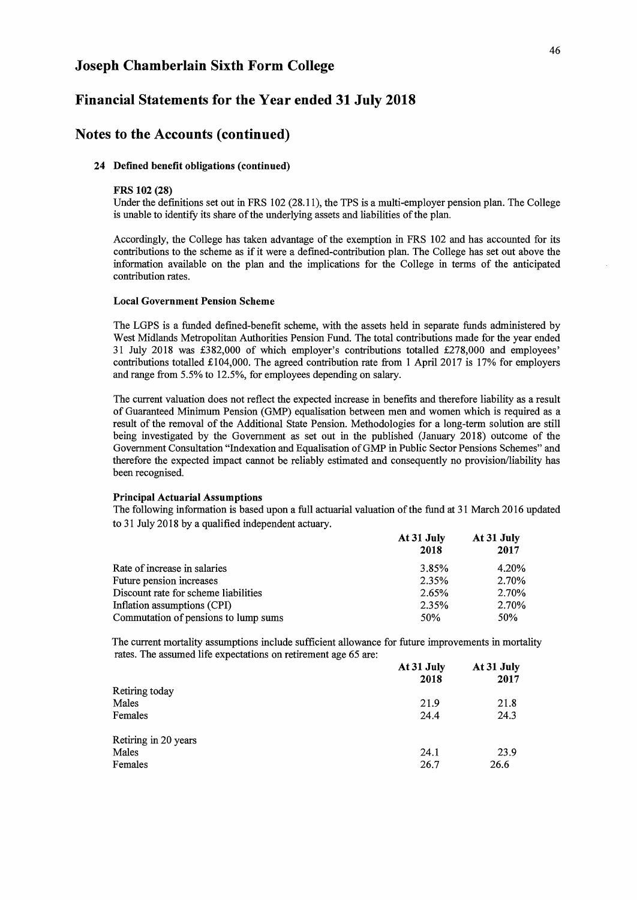### Financial Statements for the Year ended 31 July 2018

### Notes to the Accounts (continued)

#### 24 Defined benefit obligations (continued)

#### FRS 102 (28)

Under the defmitions set out in FRS 102 (28.11), the TPS is a multi-employer pension plan. The College is unable to identify its share of the underlying assets and liabilities of the plan.

Accordingly, the College has taken advantage of the exemption in FRS 102 and has accounted for its contributions to the scheme as if it were a defmed-contribution plan. The College has set out above the information available on the plan and the implications for the College in terms of the anticipated contribution rates.

#### Local Government Pension Scheme

The LGPS is a funded defmed-benefit scheme, with the assets held in separate funds administered by West Midlands Metropolitan Authorities Pension Fund. The total contributions made for the year ended 31 July 2018 was £382,000 of which employer's contributions totalled £278,000 and employees' contributions totalled £104,000. The agreed contribution rate from 1 April 2017 is 17% for employers and range from 5.5% to 12.5%, for employees depending on salary.

The current valuation does not reflect the expected increase in benefits and therefore liability as a result of Guaranteed Minimum Pension (GMP) equalisation between men and women which is required as a result of the removal of the Additional State Pension. Methodologies for a long-term solution are still being investigated by the Government as set out in the published (January 2018) outcome of the Government Consultation "Indexation and Equalisation of GMP in Public Sector Pensions Schemes" and therefore the expected impact cannot be reliably estimated and consequently no provision/liability has been recognised.

#### Principal Actuarial Assumptions

The following information is based upon a full actuarial valuation of the fund at 31 March 2016 updated to 31 July 2018 by a qualified independent actuary.

|                                      | At 31 July      | At 31 July |  |
|--------------------------------------|-----------------|------------|--|
|                                      | 2018            | 2017       |  |
| Rate of increase in salaries         | 3.85%           | 4.20%      |  |
| Future pension increases             | 2.35%           | 2.70%      |  |
| Discount rate for scheme liabilities | 2.65%           | 2.70%      |  |
| Inflation assumptions (CPI)          | 2.35%           | 2.70%      |  |
| Commutation of pensions to lump sums | 50 <sub>%</sub> | 50%        |  |

The current mortality assumptions include sufficient allowance for future improvements in mortality rates. The assumed life expectations on retirement age 65 are:

|                      | At 31 July<br>2018 | At 31 July<br>2017 |
|----------------------|--------------------|--------------------|
| Retiring today       |                    |                    |
| Males                | 21.9               | 21.8               |
| Females              | 24.4               | 24.3               |
| Retiring in 20 years |                    |                    |
| Males                | 24.1               | 23.9               |
| Females              | 26.7               | 26.6               |
|                      |                    |                    |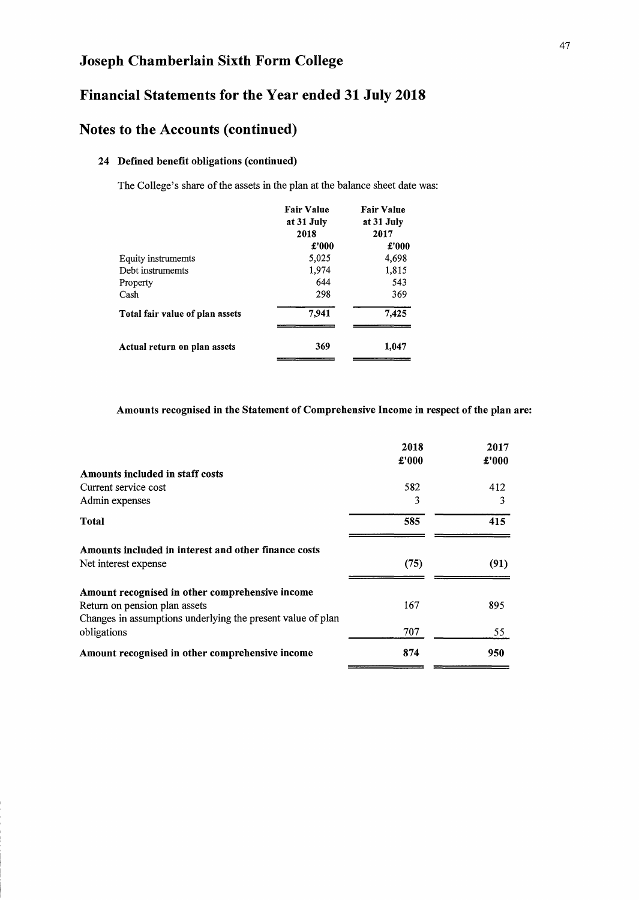## Financial Statements for the Year ended 31 July 2018

## Notes to the Accounts (continued)

### 24 Defined benefit obligations (continued)

The College's share of the assets in the plan at the balance sheet date was:

|                                 | <b>Fair Value</b><br>at 31 July<br>2018 | <b>Fair Value</b><br>at 31 July<br>2017 |
|---------------------------------|-----------------------------------------|-----------------------------------------|
|                                 | £'000                                   | £'000                                   |
| Equity instrumemts              | 5,025                                   | 4,698                                   |
| Debt instrumemts                | 1,974                                   | 1,815                                   |
| Property                        | 644                                     | 543                                     |
| Cash                            | 298                                     | 369                                     |
| Total fair value of plan assets | 7,941                                   | 7,425                                   |
| Actual return on plan assets    | 369                                     | 1.047                                   |

### Amounts recognised in the Statement of Comprehensive Income in respect of the plan are:

| 2018<br>£'000 | 2017<br>£'000 |
|---------------|---------------|
|               |               |
| 582           | 412           |
| 3             | 3             |
| 585           | 415           |
|               |               |
| (75)          | (91)          |
|               |               |
| 167           | 895           |
|               |               |
| 707           | 55            |
| 874           | 950           |
|               |               |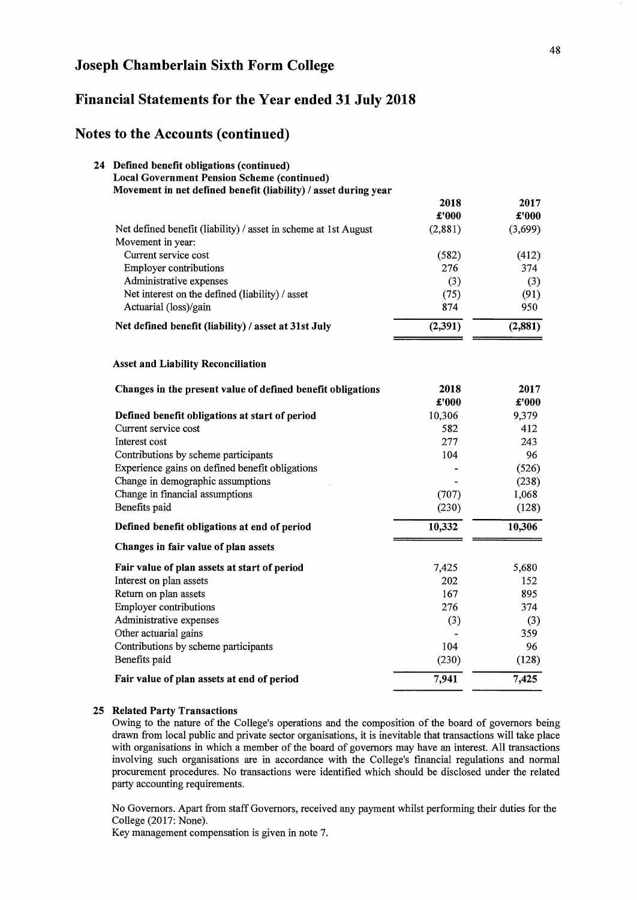## Financial Statements for the Year ended 31 July 2018

### Notes to the Accounts (continued)

| 24 Defined benefit obligations (continued)<br><b>Local Government Pension Scheme (continued)</b><br>Movement in net defined benefit (liability) / asset during year |               |               |
|---------------------------------------------------------------------------------------------------------------------------------------------------------------------|---------------|---------------|
|                                                                                                                                                                     | 2018          | 2017          |
|                                                                                                                                                                     | $\pounds 000$ | £'000         |
| Net defined benefit (liability) / asset in scheme at 1st August<br>Movement in year:                                                                                | (2,881)       | (3,699)       |
| Current service cost                                                                                                                                                | (582)         | (412)         |
| <b>Employer contributions</b>                                                                                                                                       | 276           | 374           |
| Administrative expenses                                                                                                                                             | (3)           | (3)           |
| Net interest on the defined (liability) / asset                                                                                                                     | (75)          | (91)          |
| Actuarial (loss)/gain                                                                                                                                               | 874           | 950           |
| Net defined benefit (liability) / asset at 31st July                                                                                                                | (2, 391)      | (2,881)       |
| <b>Asset and Liability Reconciliation</b>                                                                                                                           |               |               |
| Changes in the present value of defined benefit obligations                                                                                                         | 2018<br>£'000 | 2017<br>£'000 |
| Defined benefit obligations at start of period                                                                                                                      | 10,306        | 9,379         |
| Current service cost                                                                                                                                                | 582           | 412           |
| Interest cost                                                                                                                                                       | 277           | 243           |
| Contributions by scheme participants                                                                                                                                | 104           | 96            |
| Experience gains on defined benefit obligations                                                                                                                     |               | (526)         |
| Change in demographic assumptions                                                                                                                                   |               | (238)         |
| Change in financial assumptions                                                                                                                                     | (707)         | 1,068         |
| Benefits paid                                                                                                                                                       | (230)         | (128)         |
| Defined benefit obligations at end of period                                                                                                                        | 10,332        | 10,306        |
| Changes in fair value of plan assets                                                                                                                                |               |               |
| Fair value of plan assets at start of period                                                                                                                        | 7,425         | 5,680         |
| Interest on plan assets                                                                                                                                             | 202           | 152           |
| Return on plan assets                                                                                                                                               | 167           | 895           |
| <b>Employer contributions</b>                                                                                                                                       | 276           | 374           |
| Administrative expenses                                                                                                                                             | (3)           | (3)           |
| Other actuarial gains                                                                                                                                               |               | 359           |
| Contributions by scheme participants                                                                                                                                | 104           | 96            |
| Benefits paid                                                                                                                                                       | (230)         | (128)         |
| Fair value of plan assets at end of period                                                                                                                          | 7,941         | 7,425         |

#### 25 Related Party Transactions

Owing to the nature of the College's operations and the composition of the board of governors being drawn from local public and private sector organisations, it is inevitable that transactions will take place with organisations in which a member of the board of governors may have an interest. All transactions involving such organisations are in accordance with the College's fmancial regulations and normal procurement procedures. No transactions were identified which should be disclosed under the related party accounting requirements.

No Governors. Apart from staff Governors, received any payment whilst performing their duties for the College (2017: None).

Key management compensation is given in note 7.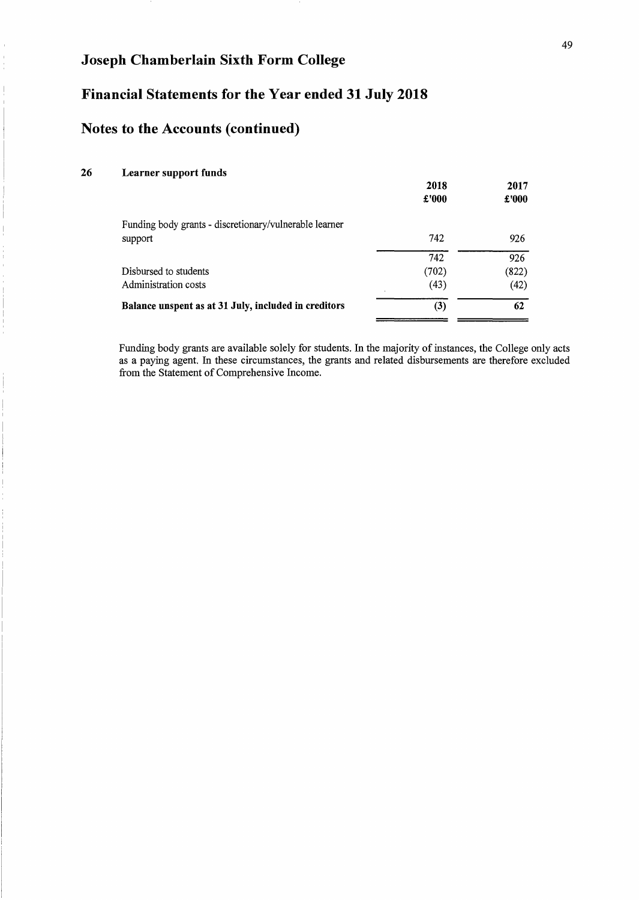## **Financial Statements for the Year ended 31 July 2018**

## **Notes to the Accounts (continued)**

### **26 Learner support funds**

|                                                        | 2018<br>£'000 | 2017<br>£'000 |
|--------------------------------------------------------|---------------|---------------|
| Funding body grants - discretionary/vulnerable learner |               |               |
| support                                                | 742           | 926           |
|                                                        | 742           | 926           |
| Disbursed to students                                  | (702)         | (822)         |
| Administration costs                                   | (43)          | (42)          |
| Balance unspent as at 31 July, included in creditors   | (3)           | 62            |

Funding body grants are available solely for students. In the majority of instances, the College only acts as a paying agent. In these circumstances, the grants and related disbursements are therefore excluded from the Statement of Comprehensive Income.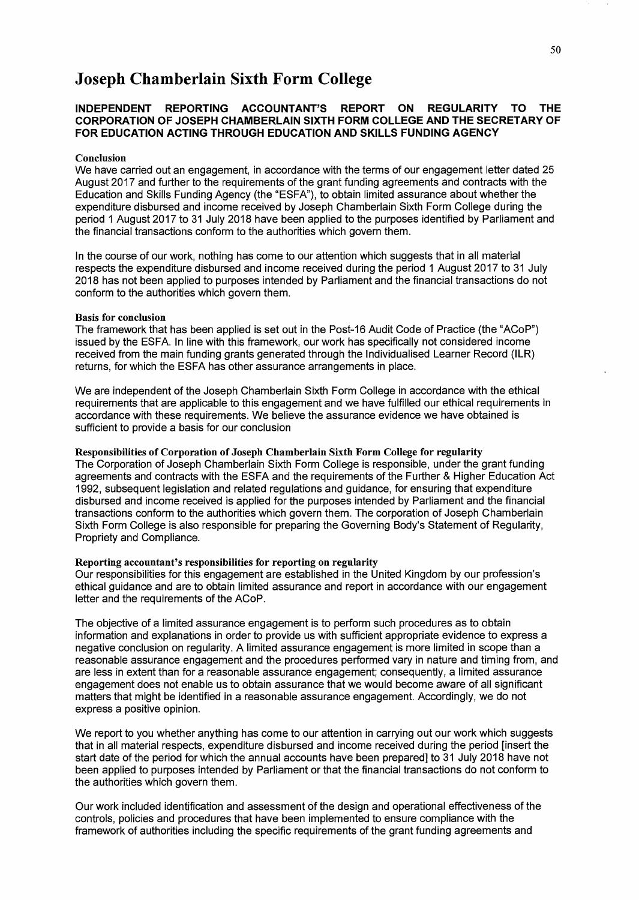#### **INDEPENDENT REPORTING ACCOUNTANT'S REPORT ON REGULARITY TO THE CORPORATION OF JOSEPH CHAMBERLAIN SIXTH FORM COLLEGE AND THE SECRETARY OF FOR EDUCATION ACTING THROUGH EDUCATION AND SKILLS FUNDING AGENCY**

#### Conclusion

We have carried out an engagement, in accordance with the terms of our engagement letter dated 25 August 2017 and further to the requirements of the grant funding agreements and contracts with the Education and Skills Funding Agency (the "ESFA"), to obtain limited assurance about whether the expenditure disbursed and income received by Joseph Chamberlain Sixth Form College during the period 1 August 2017 to 31 July 2018 have been applied to the purposes identified by Parliament and the financial transactions conform to the authorities which govern them.

In the course of our work, nothing has come to our attention which suggests that in all material respects the expenditure disbursed and income received during the period 1 August 2017 to 31 July 2018 has not been applied to purposes intended by Parliament and the financial transactions do not conform to the authorities which govern them.

#### Basis for conclusion

The framework that has been applied is set out in the Post-16 Audit Code of Practice (the "ACoP") issued by the ESFA. In line with this framework, our work has specifically not considered income received from the main funding grants generated through the Individualised Learner Record (ILR) returns, for which the ESFA has other assurance arrangements in place.

We are independent of the Joseph Chamberlain Sixth Form College in accordance with the ethical requirements that are applicable to this engagement and we have fulfilled our ethical requirements in accordance with these requirements. We believe the assurance evidence we have obtained is sufficient to provide a basis for our conclusion

Responsibilities of Corporation of Joseph Chamberlain Sixth Form College for regularity The Corporation of Joseph Chamberlain Sixth Form College is responsible, under the grant funding agreements and contracts with the ESFA and the requirements of the Further & Higher Education Act 1992, subsequent legislation and related regulations and guidance, for ensuring that expenditure disbursed and income received is applied for the purposes intended by Parliament and the financial transactions conform to the authorities which govern them. The corporation of Joseph Chamberlain Sixth Form College is also responsible for preparing the Governing Body's Statement of Regularity, Propriety and Compliance.

#### Reporting accountant's responsibilities for reporting on regularity

Our responsibilities for this engagement are established in the United Kingdom by our profession's ethical guidance and are to obtain limited assurance and report in accordance with our engagement letter and the requirements of the ACoP.

The objective of a limited assurance engagement is to perform such procedures as to obtain information and explanations in order to provide us with sufficient appropriate evidence to express a negative conclusion on regularity. A limited assurance engagement is more limited in scope than a reasonable assurance engagement and the procedures performed vary in nature and timing from, and are less in extent than for a reasonable assurance engagement; consequently, a limited assurance engagement does not enable us to obtain assurance that we would become aware of all significant matters that might be identified in a reasonable assurance engagement. Accordingly, we do not express a positive opinion.

We report to you whether anything has come to our attention in carrying out our work which suggests that in all material respects, expenditure disbursed and income received during the period [insert the start date of the period for which the annual accounts have been prepared] to 31 July 2018 have not been applied to purposes intended by Parliament or that the financial transactions do not conform to the authorities which govern them.

Our work included identification and assessment of the design and operational effectiveness of the controls, policies and procedures that have been implemented to ensure compliance with the framework of authorities including the specific requirements of the grant funding agreements and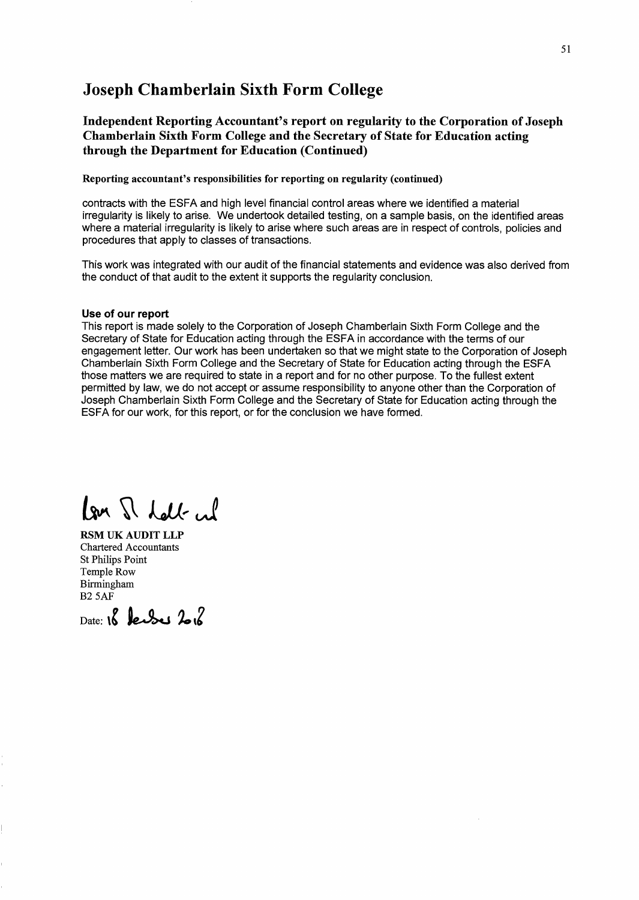Independent Reporting Accountant's report on regularity to the Corporation of Joseph Chamberlain Sixth Form College and the Secretary of State for Education acting through the Department for Education (Continued)

Reporting accountant's responsibilities for reporting on regularity (continued)

contracts with the ESFA and high level financial control areas where we identified a material irregularity is likely to arise. We undertook detailed testing, on a sample basis, on the identified areas where a material irregularity is likely to arise where such areas are in respect of controls, policies and procedures that apply to classes of transactions.

This work was integrated with our audit of the financial statements and evidence was also derived from the conduct of that audit to the extent it supports the regularity conclusion.

#### Use of our report

This report is made solely to the Corporation of Joseph Chamberlain Sixth Form College and the Secretary of State for Education acting through the ESFA in accordance with the terms of our engagement letter. Our work has been undertaken so that we might state to the Corporation of Joseph Chamberlain Sixth Form College and the Secretary of State for Education acting through the ESFA those matters we are required to state in a report and for no other purpose. To the fullest extent permitted by law, we do not accept or assume responsibility to anyone other than the Corporation of Joseph Chamberlain Sixth Form College and the Secretary of State for Education acting through the ESFA for our work, for this report, or for the conclusion we have formed.

lon I dall in

RSM UK AUDIT LLP Chartered Accountants St Philips Point Temple Row Birmingham B25AF

Date: **18 le** use 2.2